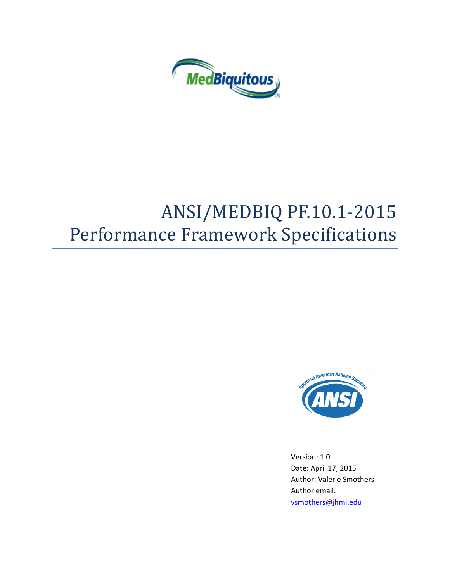

# ANSI/MEDBIQ PF.10.1-2015 Performance Framework Specifications



Version: 1.0 Date: April 17, 2015 Author: Valerie Smothers Author email: [vsmothers@jhmi.edu](mailto:vsmothers@jhmi.edu)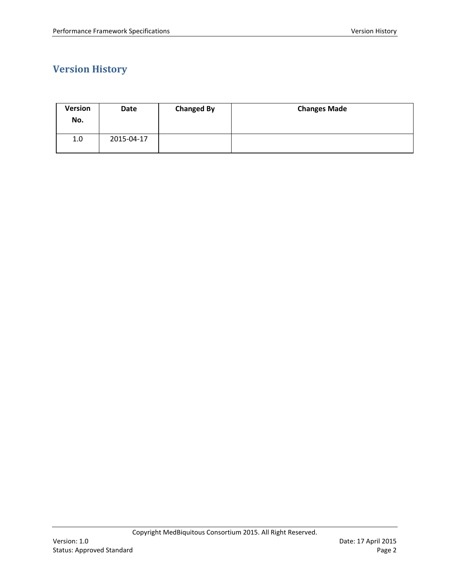# <span id="page-1-0"></span>**Version History**

| <b>Version</b><br>No. | Date       | <b>Changed By</b> | <b>Changes Made</b> |
|-----------------------|------------|-------------------|---------------------|
| 1.0                   | 2015-04-17 |                   |                     |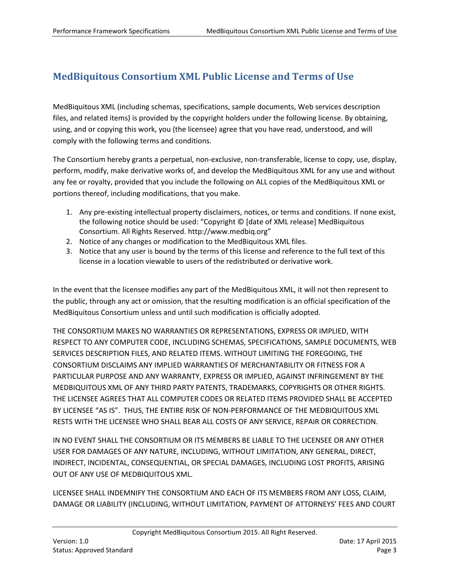# <span id="page-2-0"></span>**MedBiquitous Consortium XML Public License and Terms of Use**

MedBiquitous XML (including schemas, specifications, sample documents, Web services description files, and related items) is provided by the copyright holders under the following license. By obtaining, using, and or copying this work, you (the licensee) agree that you have read, understood, and will comply with the following terms and conditions.

The Consortium hereby grants a perpetual, non-exclusive, non-transferable, license to copy, use, display, perform, modify, make derivative works of, and develop the MedBiquitous XML for any use and without any fee or royalty, provided that you include the following on ALL copies of the MedBiquitous XML or portions thereof, including modifications, that you make.

- 1. Any pre-existing intellectual property disclaimers, notices, or terms and conditions. If none exist, the following notice should be used: "Copyright © [date of XML release] MedBiquitous Consortium. All Rights Reserved. http://www.medbiq.org"
- 2. Notice of any changes or modification to the MedBiquitous XML files.
- 3. Notice that any user is bound by the terms of this license and reference to the full text of this license in a location viewable to users of the redistributed or derivative work.

In the event that the licensee modifies any part of the MedBiquitous XML, it will not then represent to the public, through any act or omission, that the resulting modification is an official specification of the MedBiquitous Consortium unless and until such modification is officially adopted.

THE CONSORTIUM MAKES NO WARRANTIES OR REPRESENTATIONS, EXPRESS OR IMPLIED, WITH RESPECT TO ANY COMPUTER CODE, INCLUDING SCHEMAS, SPECIFICATIONS, SAMPLE DOCUMENTS, WEB SERVICES DESCRIPTION FILES, AND RELATED ITEMS. WITHOUT LIMITING THE FOREGOING, THE CONSORTIUM DISCLAIMS ANY IMPLIED WARRANTIES OF MERCHANTABILITY OR FITNESS FOR A PARTICULAR PURPOSE AND ANY WARRANTY, EXPRESS OR IMPLIED, AGAINST INFRINGEMENT BY THE MEDBIQUITOUS XML OF ANY THIRD PARTY PATENTS, TRADEMARKS, COPYRIGHTS OR OTHER RIGHTS. THE LICENSEE AGREES THAT ALL COMPUTER CODES OR RELATED ITEMS PROVIDED SHALL BE ACCEPTED BY LICENSEE "AS IS". THUS, THE ENTIRE RISK OF NON-PERFORMANCE OF THE MEDBIQUITOUS XML RESTS WITH THE LICENSEE WHO SHALL BEAR ALL COSTS OF ANY SERVICE, REPAIR OR CORRECTION.

IN NO EVENT SHALL THE CONSORTIUM OR ITS MEMBERS BE LIABLE TO THE LICENSEE OR ANY OTHER USER FOR DAMAGES OF ANY NATURE, INCLUDING, WITHOUT LIMITATION, ANY GENERAL, DIRECT, INDIRECT, INCIDENTAL, CONSEQUENTIAL, OR SPECIAL DAMAGES, INCLUDING LOST PROFITS, ARISING OUT OF ANY USE OF MEDBIQUITOUS XML.

LICENSEE SHALL INDEMNIFY THE CONSORTIUM AND EACH OF ITS MEMBERS FROM ANY LOSS, CLAIM, DAMAGE OR LIABILITY (INCLUDING, WITHOUT LIMITATION, PAYMENT OF ATTORNEYS' FEES AND COURT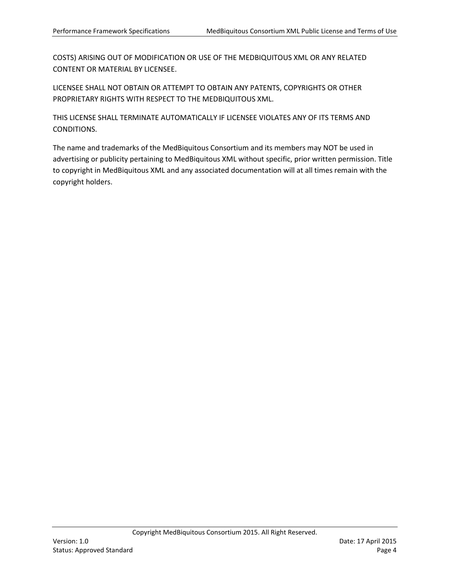COSTS) ARISING OUT OF MODIFICATION OR USE OF THE MEDBIQUITOUS XML OR ANY RELATED CONTENT OR MATERIAL BY LICENSEE.

LICENSEE SHALL NOT OBTAIN OR ATTEMPT TO OBTAIN ANY PATENTS, COPYRIGHTS OR OTHER PROPRIETARY RIGHTS WITH RESPECT TO THE MEDBIQUITOUS XML.

THIS LICENSE SHALL TERMINATE AUTOMATICALLY IF LICENSEE VIOLATES ANY OF ITS TERMS AND CONDITIONS.

The name and trademarks of the MedBiquitous Consortium and its members may NOT be used in advertising or publicity pertaining to MedBiquitous XML without specific, prior written permission. Title to copyright in MedBiquitous XML and any associated documentation will at all times remain with the copyright holders.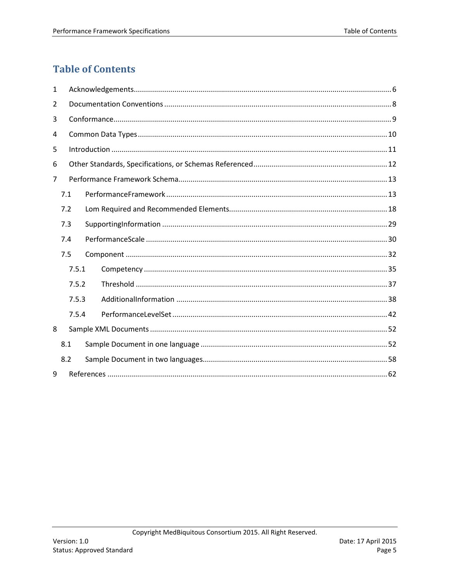# <span id="page-4-0"></span>**Table of Contents**

| 1              |     |       |  |  |  |  |  |
|----------------|-----|-------|--|--|--|--|--|
| 2              |     |       |  |  |  |  |  |
| 3              |     |       |  |  |  |  |  |
| 4              |     |       |  |  |  |  |  |
| 5              |     |       |  |  |  |  |  |
| 6              |     |       |  |  |  |  |  |
| $\overline{7}$ |     |       |  |  |  |  |  |
|                | 7.1 |       |  |  |  |  |  |
|                | 7.2 |       |  |  |  |  |  |
|                | 7.3 |       |  |  |  |  |  |
|                | 7.4 |       |  |  |  |  |  |
|                | 7.5 |       |  |  |  |  |  |
|                |     | 7.5.1 |  |  |  |  |  |
|                |     | 7.5.2 |  |  |  |  |  |
|                |     | 7.5.3 |  |  |  |  |  |
|                |     | 7.5.4 |  |  |  |  |  |
| 8              |     |       |  |  |  |  |  |
|                | 8.1 |       |  |  |  |  |  |
|                | 8.2 |       |  |  |  |  |  |
| 9              |     |       |  |  |  |  |  |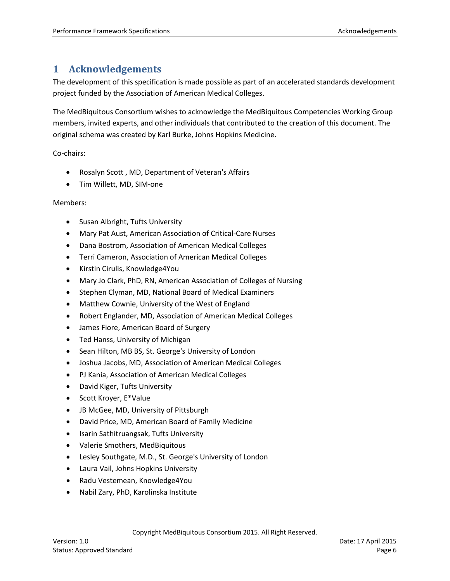# <span id="page-5-0"></span>**1 Acknowledgements**

The development of this specification is made possible as part of an accelerated standards development project funded by the Association of American Medical Colleges.

The MedBiquitous Consortium wishes to acknowledge the MedBiquitous Competencies Working Group members, invited experts, and other individuals that contributed to the creation of this document. The original schema was created by Karl Burke, Johns Hopkins Medicine.

Co-chairs:

- Rosalyn Scott , MD, Department of Veteran's Affairs
- Tim Willett, MD, SIM-one

#### Members:

- Susan Albright, Tufts University
- Mary Pat Aust, American Association of Critical-Care Nurses
- Dana Bostrom, Association of American Medical Colleges
- Terri Cameron, Association of American Medical Colleges
- Kirstin Cirulis, Knowledge4You
- Mary Jo Clark, PhD, RN, American Association of Colleges of Nursing
- Stephen Clyman, MD, National Board of Medical Examiners
- Matthew Cownie, University of the West of England
- Robert Englander, MD, Association of American Medical Colleges
- James Fiore, American Board of Surgery
- Ted Hanss, University of Michigan
- Sean Hilton, MB BS, St. George's University of London
- Joshua Jacobs, MD, Association of American Medical Colleges
- PJ Kania, Association of American Medical Colleges
- David Kiger, Tufts University
- Scott Kroyer, E\*Value
- JB McGee, MD, University of Pittsburgh
- David Price, MD, American Board of Family Medicine
- Isarin Sathitruangsak, Tufts University
- Valerie Smothers, MedBiquitous
- Lesley Southgate, M.D., St. George's University of London
- Laura Vail, Johns Hopkins University
- Radu Vestemean, Knowledge4You
- Nabil Zary, PhD, Karolinska Institute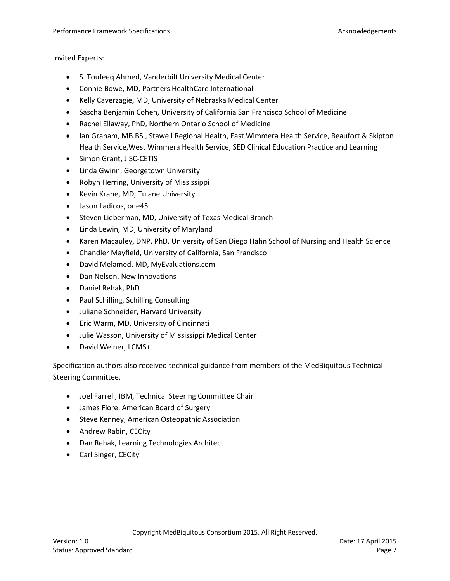Invited Experts:

- S. Toufeeq Ahmed, Vanderbilt University Medical Center
- Connie Bowe, MD, Partners HealthCare International
- Kelly Caverzagie, MD, University of Nebraska Medical Center
- Sascha Benjamin Cohen, University of California San Francisco School of Medicine
- Rachel Ellaway, PhD, Northern Ontario School of Medicine
- Ian Graham, MB.BS., Stawell Regional Health, East Wimmera Health Service, Beaufort & Skipton Health Service,West Wimmera Health Service, SED Clinical Education Practice and Learning
- Simon Grant, JISC-CETIS
- Linda Gwinn, Georgetown University
- Robyn Herring, University of Mississippi
- Kevin Krane, MD, Tulane University
- Jason Ladicos, one45
- Steven Lieberman, MD, University of Texas Medical Branch
- Linda Lewin, MD, University of Maryland
- Karen Macauley, DNP, PhD, University of San Diego Hahn School of Nursing and Health Science
- Chandler Mayfield, University of California, San Francisco
- David Melamed, MD, MyEvaluations.com
- Dan Nelson, New Innovations
- Daniel Rehak, PhD
- Paul Schilling, Schilling Consulting
- Juliane Schneider, Harvard University
- Eric Warm, MD, University of Cincinnati
- Julie Wasson, University of Mississippi Medical Center
- David Weiner, LCMS+

Specification authors also received technical guidance from members of the MedBiquitous Technical Steering Committee.

- Joel Farrell, IBM, Technical Steering Committee Chair
- James Fiore, American Board of Surgery
- Steve Kenney, American Osteopathic Association
- Andrew Rabin, CECity
- Dan Rehak, Learning Technologies Architect
- Carl Singer, CECity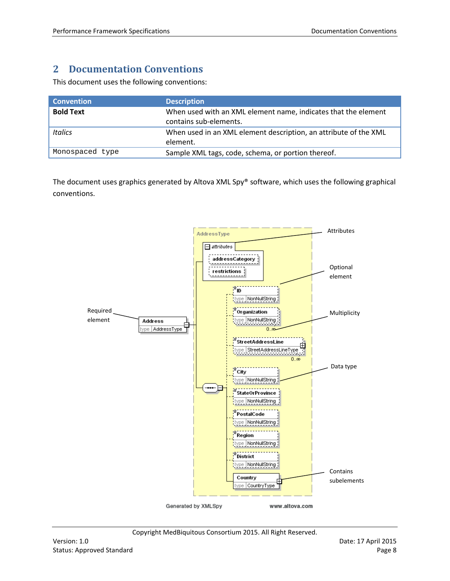# <span id="page-7-0"></span>**2 Documentation Conventions**

This document uses the following conventions:

| <b>Convention</b> | <b>Description</b>                                                                       |
|-------------------|------------------------------------------------------------------------------------------|
| <b>Bold Text</b>  | When used with an XML element name, indicates that the element<br>contains sub-elements. |
| <b>Italics</b>    | When used in an XML element description, an attribute of the XML<br>element.             |
| Monospaced type   | Sample XML tags, code, schema, or portion thereof.                                       |

The document uses graphics generated by Altova XML Spy® software, which uses the following graphical conventions.

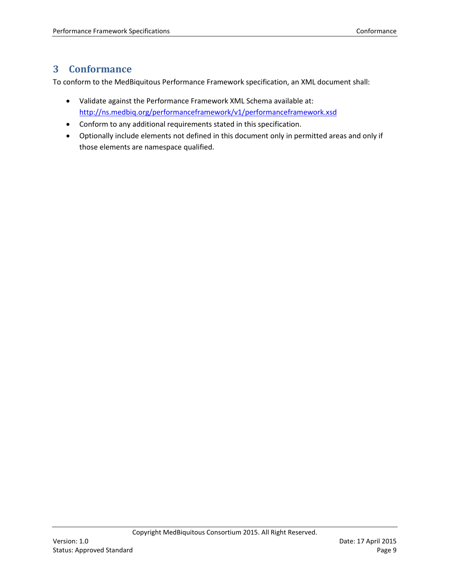# <span id="page-8-0"></span>**3 Conformance**

To conform to the MedBiquitous Performance Framework specification, an XML document shall:

- Validate against the Performance Framework XML Schema available at: <http://ns.medbiq.org/performanceframework/v1/performanceframework.xsd>
- Conform to any additional requirements stated in this specification.
- Optionally include elements not defined in this document only in permitted areas and only if those elements are namespace qualified.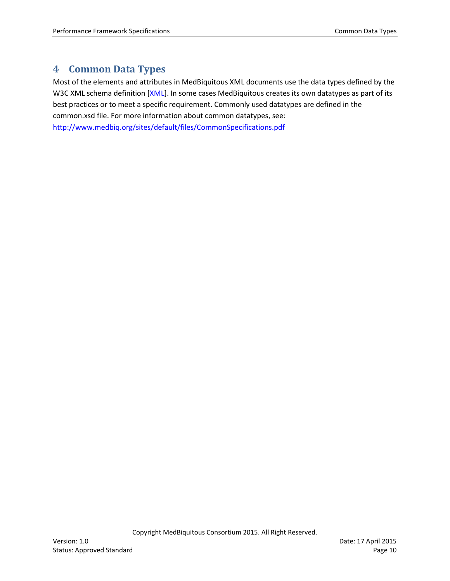# <span id="page-9-0"></span>**4 Common Data Types**

Most of the elements and attributes in MedBiquitous XML documents use the data types defined by the W3C XML schema definition [XML]. In some cases MedBiquitous creates its own datatypes as part of its best practices or to meet a specific requirement. Commonly used datatypes are defined in the common.xsd file. For more information about common datatypes, see:

<http://www.medbiq.org/sites/default/files/CommonSpecifications.pdf>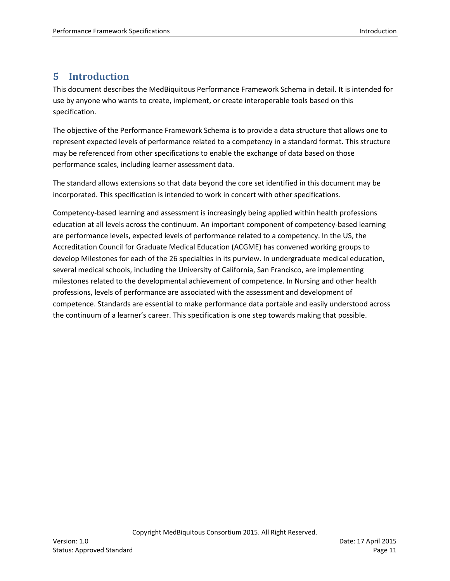# <span id="page-10-0"></span>**5 Introduction**

This document describes the MedBiquitous Performance Framework Schema in detail. It is intended for use by anyone who wants to create, implement, or create interoperable tools based on this specification.

The objective of the Performance Framework Schema is to provide a data structure that allows one to represent expected levels of performance related to a competency in a standard format. This structure may be referenced from other specifications to enable the exchange of data based on those performance scales, including learner assessment data.

The standard allows extensions so that data beyond the core set identified in this document may be incorporated. This specification is intended to work in concert with other specifications.

Competency-based learning and assessment is increasingly being applied within health professions education at all levels across the continuum. An important component of competency-based learning are performance levels, expected levels of performance related to a competency. In the US, the Accreditation Council for Graduate Medical Education (ACGME) has convened working groups to develop Milestones for each of the 26 specialties in its purview. In undergraduate medical education, several medical schools, including the University of California, San Francisco, are implementing milestones related to the developmental achievement of competence. In Nursing and other health professions, levels of performance are associated with the assessment and development of competence. Standards are essential to make performance data portable and easily understood across the continuum of a learner's career. This specification is one step towards making that possible.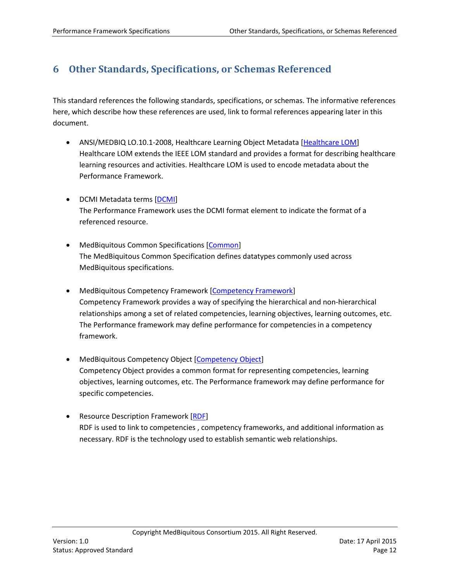# <span id="page-11-0"></span>**6 Other Standards, Specifications, or Schemas Referenced**

This standard references the following standards, specifications, or schemas. The informative references here, which describe how these references are used, link to formal references appearing later in this document.

- ANSI/MEDBIQ LO.10.1-2008, Healthcare Learning Object Metadata [\[Healthcare LOM\]](#page-61-1) Healthcare LOM extends the IEEE LOM standard and provides a format for describing healthcare learning resources and activities. Healthcare LOM is used to encode metadata about the Performance Framework.
- DCMI Metadata terms [\[DCMI\]](#page-61-2) The Performance Framework uses the DCMI format element to indicate the format of a referenced resource.
- MedBiquitous Common Specifications [\[Common\]](#page-61-3) The MedBiquitous Common Specification defines datatypes commonly used across MedBiquitous specifications.
- MedBiquitous Competency Framework [\[Competency Framework\]](#page-61-4) Competency Framework provides a way of specifying the hierarchical and non-hierarchical relationships among a set of related competencies, learning objectives, learning outcomes, etc. The Performance framework may define performance for competencies in a competency framework.
- MedBiquitous Competency Object [\[Competency Object\]](#page-61-5) Competency Object provides a common format for representing competencies, learning objectives, learning outcomes, etc. The Performance framework may define performance for specific competencies.
- **Resource Description Framework [\[RDF\]](#page-61-6)** RDF is used to link to competencies , competency frameworks, and additional information as necessary. RDF is the technology used to establish semantic web relationships.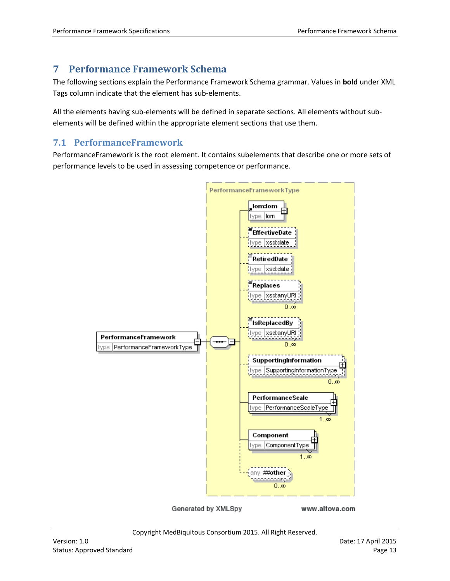# <span id="page-12-2"></span><span id="page-12-0"></span>**7 Performance Framework Schema**

The following sections explain the Performance Framework Schema grammar. Values in **bold** under XML Tags column indicate that the element has sub-elements.

All the elements having sub-elements will be defined in separate sections. All elements without subelements will be defined within the appropriate element sections that use them.

## <span id="page-12-1"></span>**7.1 PerformanceFramework**

PerformanceFramework is the root element. It contains subelements that describe one or more sets of performance levels to be used in assessing competence or performance.



Generated by XMLSpy

www.altova.com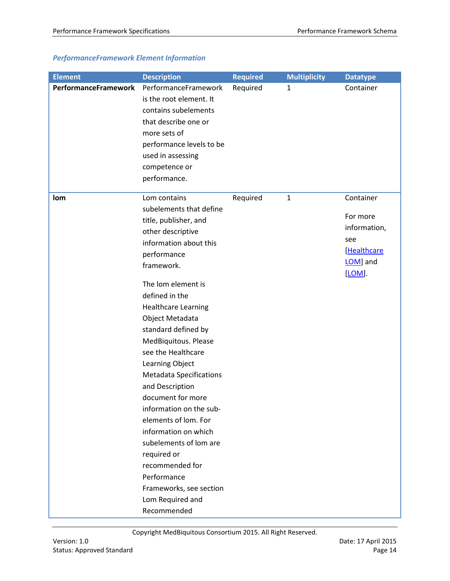## *PerformanceFramework Element Information*

| <b>Element</b>       | <b>Description</b>                                                                                                                                                                                                                                                                                                                                                                                                                                                                                                                                                                                                          | <b>Required</b> | <b>Multiplicity</b> | <b>Datatype</b>                                                                   |
|----------------------|-----------------------------------------------------------------------------------------------------------------------------------------------------------------------------------------------------------------------------------------------------------------------------------------------------------------------------------------------------------------------------------------------------------------------------------------------------------------------------------------------------------------------------------------------------------------------------------------------------------------------------|-----------------|---------------------|-----------------------------------------------------------------------------------|
| PerformanceFramework | PerformanceFramework<br>is the root element. It<br>contains subelements<br>that describe one or<br>more sets of<br>performance levels to be<br>used in assessing<br>competence or<br>performance.                                                                                                                                                                                                                                                                                                                                                                                                                           | Required        | 1                   | Container                                                                         |
| lom                  | Lom contains<br>subelements that define<br>title, publisher, and<br>other descriptive<br>information about this<br>performance<br>framework.<br>The lom element is<br>defined in the<br><b>Healthcare Learning</b><br>Object Metadata<br>standard defined by<br>MedBiquitous. Please<br>see the Healthcare<br>Learning Object<br><b>Metadata Specifications</b><br>and Description<br>document for more<br>information on the sub-<br>elements of lom. For<br>information on which<br>subelements of lom are<br>required or<br>recommended for<br>Performance<br>Frameworks, see section<br>Lom Required and<br>Recommended | Required        | $\mathbf{1}$        | Container<br>For more<br>information,<br>see<br>[Healthcare<br>LOM] and<br>[LOM]. |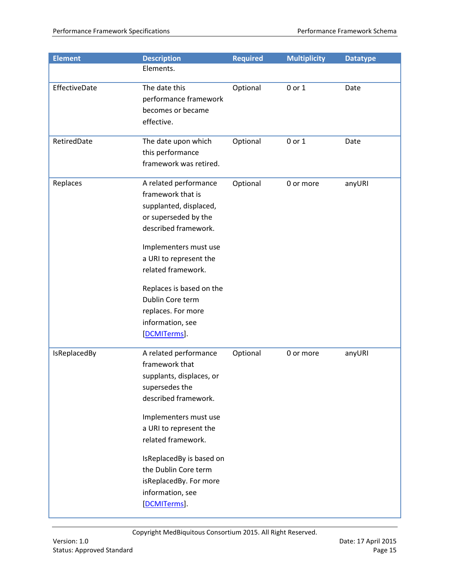| <b>Element</b> | <b>Description</b>                                                                                                                                                                                                                                                                                       | <b>Required</b> | <b>Multiplicity</b> | <b>Datatype</b> |
|----------------|----------------------------------------------------------------------------------------------------------------------------------------------------------------------------------------------------------------------------------------------------------------------------------------------------------|-----------------|---------------------|-----------------|
|                | Elements.                                                                                                                                                                                                                                                                                                |                 |                     |                 |
| EffectiveDate  | The date this<br>performance framework<br>becomes or became<br>effective.                                                                                                                                                                                                                                | Optional        | 0 or 1              | Date            |
| RetiredDate    | The date upon which<br>this performance<br>framework was retired.                                                                                                                                                                                                                                        | Optional        | 0 or 1              | Date            |
| Replaces       | A related performance<br>framework that is<br>supplanted, displaced,<br>or superseded by the<br>described framework.<br>Implementers must use<br>a URI to represent the<br>related framework.<br>Replaces is based on the<br>Dublin Core term<br>replaces. For more<br>information, see<br>[DCMITerms].  | Optional        | 0 or more           | anyURI          |
| IsReplacedBy   | A related performance<br>framework that<br>supplants, displaces, or<br>supersedes the<br>described framework.<br>Implementers must use<br>a URI to represent the<br>related framework.<br>IsReplacedBy is based on<br>the Dublin Core term<br>isReplacedBy. For more<br>information, see<br>[DCMITerms]. | Optional        | 0 or more           | anyURI          |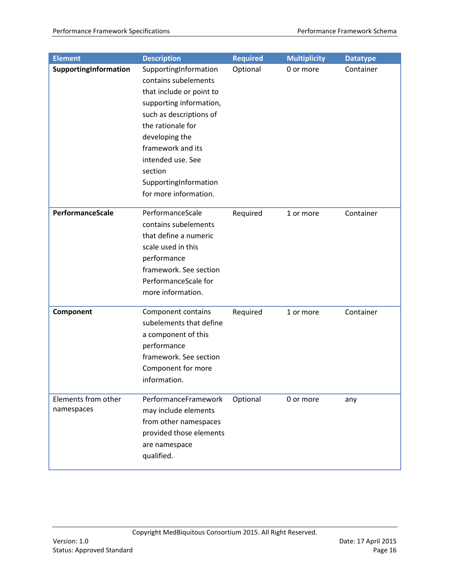| <b>Element</b>                    | <b>Description</b>                                                                                                                                                                                                                                                            | Required | <b>Multiplicity</b> | <b>Datatype</b> |
|-----------------------------------|-------------------------------------------------------------------------------------------------------------------------------------------------------------------------------------------------------------------------------------------------------------------------------|----------|---------------------|-----------------|
| SupportingInformation             | SupportingInformation<br>contains subelements<br>that include or point to<br>supporting information,<br>such as descriptions of<br>the rationale for<br>developing the<br>framework and its<br>intended use. See<br>section<br>SupportingInformation<br>for more information. | Optional | 0 or more           | Container       |
| PerformanceScale                  | PerformanceScale<br>contains subelements<br>that define a numeric<br>scale used in this<br>performance<br>framework. See section<br>PerformanceScale for<br>more information.                                                                                                 | Required | 1 or more           | Container       |
| Component                         | Component contains<br>subelements that define<br>a component of this<br>performance<br>framework. See section<br>Component for more<br>information.                                                                                                                           | Required | 1 or more           | Container       |
| Elements from other<br>namespaces | PerformanceFramework<br>may include elements<br>from other namespaces<br>provided those elements<br>are namespace<br>qualified.                                                                                                                                               | Optional | 0 or more           | any             |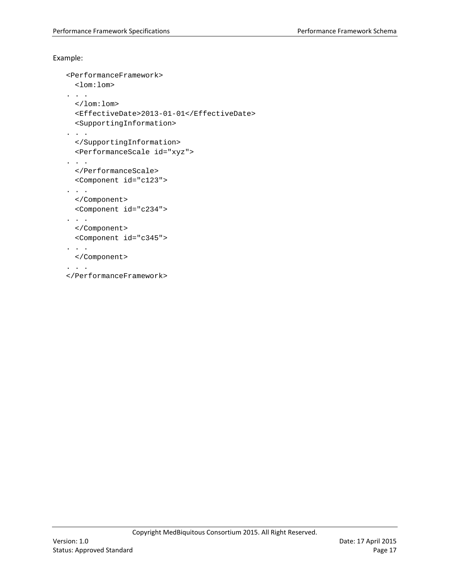#### Example:

```
<PerformanceFramework>
   <lom:lom>
. . .
   </lom:lom>
   <EffectiveDate>2013-01-01</EffectiveDate>
   <SupportingInformation>
. . .
   </SupportingInformation>
  <PerformanceScale id="xyz">
\mathbf{.} . \mathbf{.} </PerformanceScale>
   <Component id="c123">
. . .
  </Component>
   <Component id="c234">
. . .
   </Component>
  <Component id="c345">
. . .
   </Component>
. . . . .
</PerformanceFramework>
```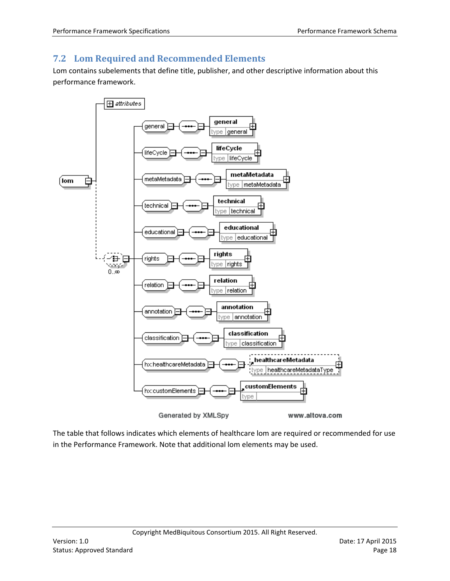## <span id="page-17-0"></span>**7.2 Lom Required and Recommended Elements**

Lom contains subelements that define title, publisher, and other descriptive information about this performance framework.



The table that follows indicates which elements of healthcare lom are required or recommended for use in the Performance Framework. Note that additional lom elements may be used.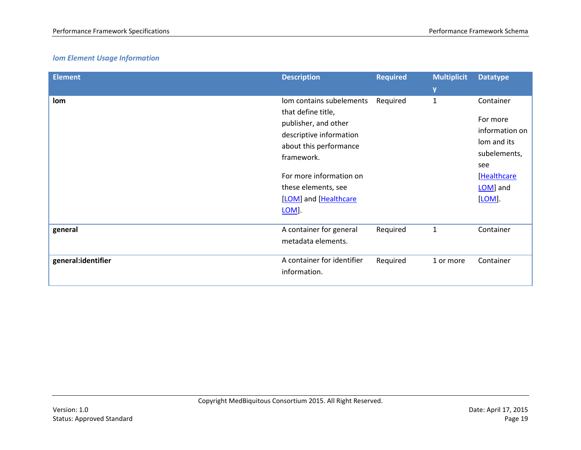## *lom Element Usage Information*

| <b>Element</b>     | <b>Description</b>                                                                                                                        | <b>Required</b> | <b>Multiplicit</b><br>y | <b>Datatype</b>                                                               |
|--------------------|-------------------------------------------------------------------------------------------------------------------------------------------|-----------------|-------------------------|-------------------------------------------------------------------------------|
| lom                | lom contains subelements<br>that define title,<br>publisher, and other<br>descriptive information<br>about this performance<br>framework. | Required        | $\mathbf{1}$            | Container<br>For more<br>information on<br>lom and its<br>subelements,<br>see |
|                    | For more information on<br>these elements, see<br>[LOM] and [Healthcare<br>LOM].                                                          |                 |                         | [Healthcare<br>LOM] and<br>[LOM].                                             |
| general            | A container for general<br>metadata elements.                                                                                             | Required        | $\mathbf{1}$            | Container                                                                     |
| general:identifier | A container for identifier<br>information.                                                                                                | Required        | 1 or more               | Container                                                                     |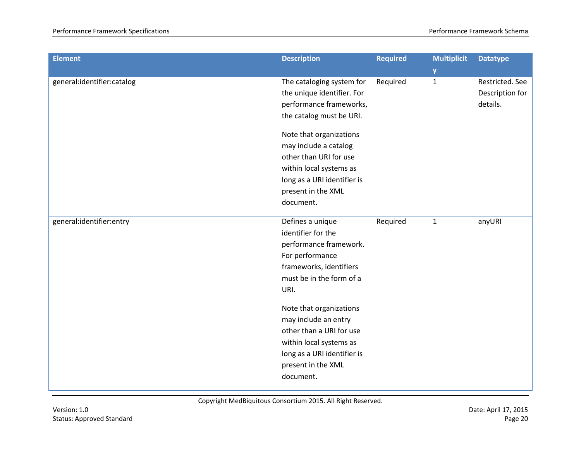| <b>Element</b>             | <b>Description</b>                                                                                                                                                       | <b>Required</b> | <b>Multiplicit</b><br>y | <b>Datatype</b>                                |
|----------------------------|--------------------------------------------------------------------------------------------------------------------------------------------------------------------------|-----------------|-------------------------|------------------------------------------------|
| general:identifier:catalog | The cataloging system for<br>the unique identifier. For<br>performance frameworks,<br>the catalog must be URI.                                                           | Required        | $\mathbf{1}$            | Restricted. See<br>Description for<br>details. |
|                            | Note that organizations<br>may include a catalog<br>other than URI for use<br>within local systems as<br>long as a URI identifier is<br>present in the XML<br>document.  |                 |                         |                                                |
| general:identifier:entry   | Defines a unique<br>identifier for the<br>performance framework.<br>For performance<br>frameworks, identifiers<br>must be in the form of a<br>URI.                       | Required        | $\mathbf{1}$            | anyURI                                         |
|                            | Note that organizations<br>may include an entry<br>other than a URI for use<br>within local systems as<br>long as a URI identifier is<br>present in the XML<br>document. |                 |                         |                                                |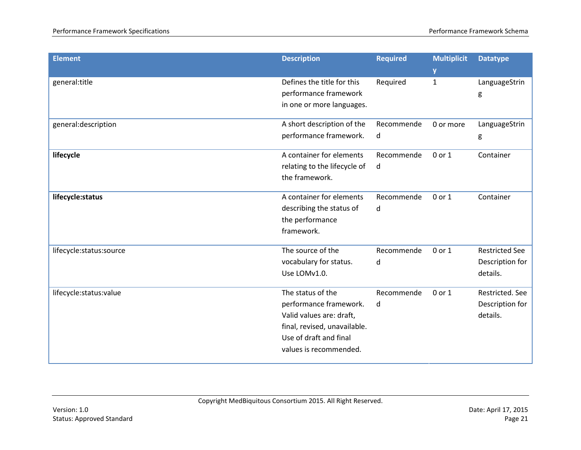| y<br>Defines the title for this<br>general:title<br>Required<br>LanguageStrin<br>$\mathbf{1}$<br>performance framework<br>g<br>in one or more languages. |
|----------------------------------------------------------------------------------------------------------------------------------------------------------|
|                                                                                                                                                          |
|                                                                                                                                                          |
|                                                                                                                                                          |
|                                                                                                                                                          |
| general:description<br>A short description of the<br>Recommende<br>LanguageStrin<br>0 or more                                                            |
| performance framework.<br>d<br>g                                                                                                                         |
| A container for elements<br>lifecycle<br>Recommende<br>0 or 1<br>Container                                                                               |
| relating to the lifecycle of<br>d                                                                                                                        |
| the framework.                                                                                                                                           |
| A container for elements<br>Recommende<br>lifecycle:status<br>0 or 1<br>Container                                                                        |
| describing the status of<br>d                                                                                                                            |
| the performance                                                                                                                                          |
| framework.                                                                                                                                               |
| The source of the<br><b>Restricted See</b><br>Recommende<br>0 or 1<br>lifecycle:status:source                                                            |
| vocabulary for status.<br>Description for<br>d                                                                                                           |
| Use LOMv1.0.<br>details.                                                                                                                                 |
| The status of the<br>Recommende<br>0 or 1<br>Restricted. See<br>lifecycle:status:value                                                                   |
| performance framework.<br>Description for<br>d                                                                                                           |
| Valid values are: draft,<br>details.                                                                                                                     |
| final, revised, unavailable.                                                                                                                             |
| Use of draft and final                                                                                                                                   |
| values is recommended.                                                                                                                                   |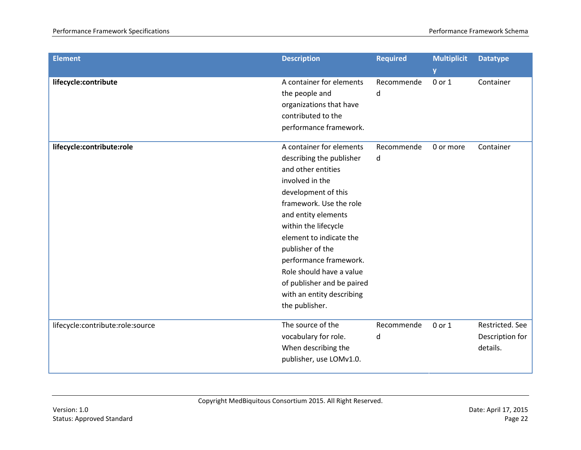| <b>Element</b>                   | <b>Description</b>                                                                                                                                                                                                                                                                                                                                                               | <b>Required</b> | <b>Multiplicit</b><br><b>y</b> | <b>Datatype</b>                                |
|----------------------------------|----------------------------------------------------------------------------------------------------------------------------------------------------------------------------------------------------------------------------------------------------------------------------------------------------------------------------------------------------------------------------------|-----------------|--------------------------------|------------------------------------------------|
| lifecycle:contribute             | A container for elements<br>the people and<br>organizations that have<br>contributed to the<br>performance framework.                                                                                                                                                                                                                                                            | Recommende<br>d | 0 or 1                         | Container                                      |
| lifecycle:contribute:role        | A container for elements<br>describing the publisher<br>and other entities<br>involved in the<br>development of this<br>framework. Use the role<br>and entity elements<br>within the lifecycle<br>element to indicate the<br>publisher of the<br>performance framework.<br>Role should have a value<br>of publisher and be paired<br>with an entity describing<br>the publisher. | Recommende<br>d | 0 or more                      | Container                                      |
| lifecycle:contribute:role:source | The source of the<br>vocabulary for role.<br>When describing the<br>publisher, use LOMv1.0.                                                                                                                                                                                                                                                                                      | Recommende<br>d | 0 or 1                         | Restricted. See<br>Description for<br>details. |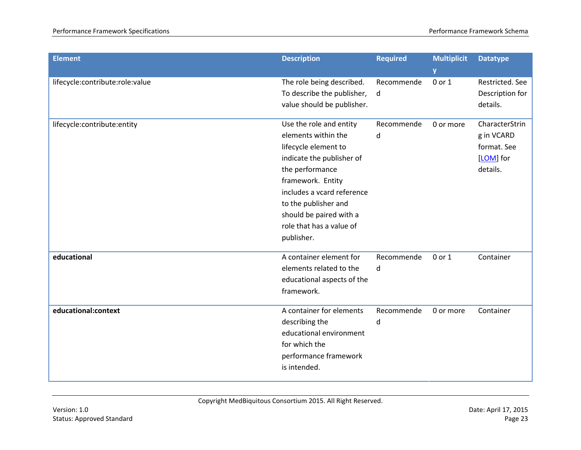| <b>Element</b>                  | <b>Description</b>                                                                                                                                                                                                                                                     | <b>Required</b> | <b>Multiplicit</b><br>y | <b>Datatype</b>                                                      |
|---------------------------------|------------------------------------------------------------------------------------------------------------------------------------------------------------------------------------------------------------------------------------------------------------------------|-----------------|-------------------------|----------------------------------------------------------------------|
| lifecycle:contribute:role:value | The role being described.<br>To describe the publisher,<br>value should be publisher.                                                                                                                                                                                  | Recommende<br>d | 0 or 1                  | Restricted. See<br>Description for<br>details.                       |
| lifecycle:contribute:entity     | Use the role and entity<br>elements within the<br>lifecycle element to<br>indicate the publisher of<br>the performance<br>framework. Entity<br>includes a vcard reference<br>to the publisher and<br>should be paired with a<br>role that has a value of<br>publisher. | Recommende<br>d | 0 or more               | CharacterStrin<br>g in VCARD<br>format. See<br>[LOM] for<br>details. |
| educational                     | A container element for<br>elements related to the<br>educational aspects of the<br>framework.                                                                                                                                                                         | Recommende<br>d | 0 or 1                  | Container                                                            |
| educational:context             | A container for elements<br>describing the<br>educational environment<br>for which the<br>performance framework<br>is intended.                                                                                                                                        | Recommende<br>d | 0 or more               | Container                                                            |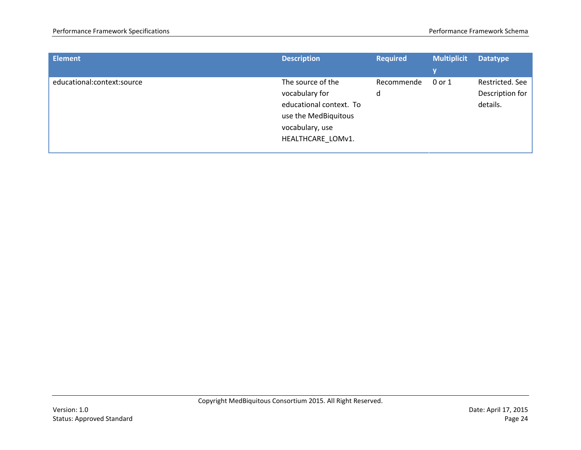| <b>Element</b>             | <b>Description</b>                                                                                                             | <b>Required</b> | <b>Multiplicit</b><br>V | <b>Datatype</b>                                |
|----------------------------|--------------------------------------------------------------------------------------------------------------------------------|-----------------|-------------------------|------------------------------------------------|
| educational:context:source | The source of the<br>vocabulary for<br>educational context. To<br>use the MedBiquitous<br>vocabulary, use<br>HEALTHCARE LOMv1. | Recommende<br>d | 0 or 1                  | Restricted. See<br>Description for<br>details. |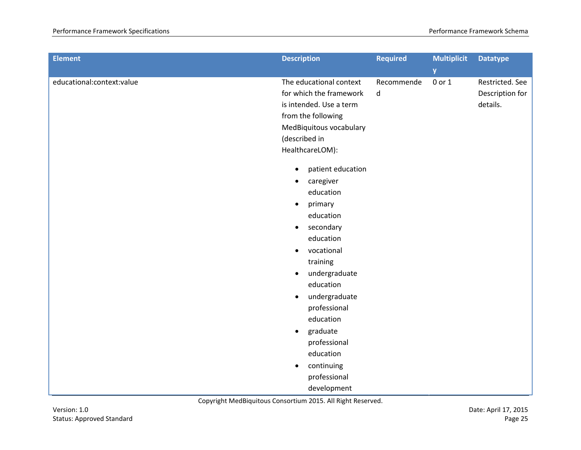| <b>Description</b>                                                                                                                                                                                                                                                                                                                                                              | <b>Required</b>             | <b>Multiplicit</b><br>y | <b>Datatype</b>                                |
|---------------------------------------------------------------------------------------------------------------------------------------------------------------------------------------------------------------------------------------------------------------------------------------------------------------------------------------------------------------------------------|-----------------------------|-------------------------|------------------------------------------------|
| The educational context<br>for which the framework<br>is intended. Use a term<br>from the following<br>MedBiquitous vocabulary<br>(described in<br>HealthcareLOM):                                                                                                                                                                                                              | Recommende<br>d             | 0 or 1                  | Restricted. See<br>Description for<br>details. |
| patient education<br>$\bullet$<br>caregiver<br>$\bullet$<br>education<br>primary<br>$\bullet$<br>education<br>secondary<br>$\bullet$<br>education<br>vocational<br>$\bullet$<br>training<br>undergraduate<br>$\bullet$<br>education<br>undergraduate<br>$\bullet$<br>professional<br>education<br>graduate<br>$\bullet$<br>professional<br>education<br>continuing<br>$\bullet$ |                             |                         |                                                |
|                                                                                                                                                                                                                                                                                                                                                                                 | professional<br>development |                         |                                                |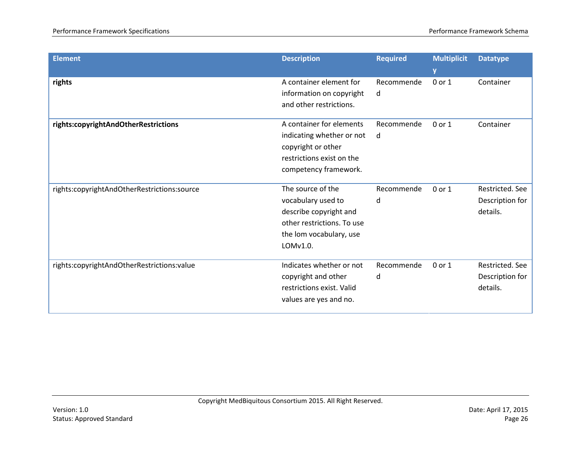| <b>Element</b>                              | <b>Description</b>                                                                                                                     | <b>Required</b> | <b>Multiplicit</b><br>y | <b>Datatype</b>                                |
|---------------------------------------------|----------------------------------------------------------------------------------------------------------------------------------------|-----------------|-------------------------|------------------------------------------------|
| rights                                      | A container element for<br>information on copyright<br>and other restrictions.                                                         | Recommende<br>d | 0 or 1                  | Container                                      |
| rights:copyrightAndOtherRestrictions        | A container for elements<br>indicating whether or not<br>copyright or other<br>restrictions exist on the<br>competency framework.      | Recommende<br>d | 0 or 1                  | Container                                      |
| rights:copyrightAndOtherRestrictions:source | The source of the<br>vocabulary used to<br>describe copyright and<br>other restrictions. To use<br>the lom vocabulary, use<br>LOMv1.0. | Recommende<br>d | 0 or 1                  | Restricted. See<br>Description for<br>details. |
| rights:copyrightAndOtherRestrictions:value  | Indicates whether or not<br>copyright and other<br>restrictions exist. Valid<br>values are yes and no.                                 | Recommende<br>d | 0 or 1                  | Restricted. See<br>Description for<br>details. |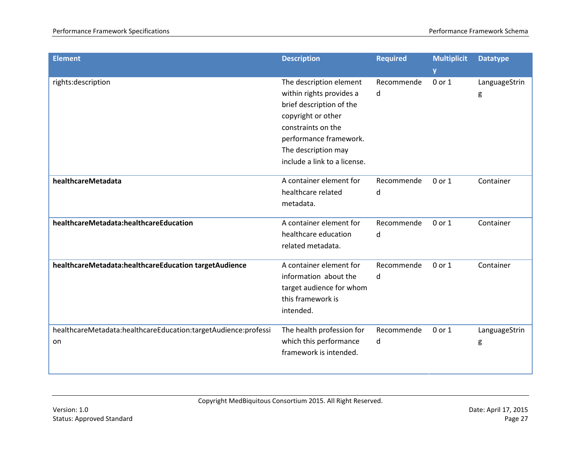| <b>Element</b>                                                       | <b>Description</b>                                                                                                                                                                                           | <b>Required</b> | <b>Multiplicit</b><br>y | <b>Datatype</b>    |
|----------------------------------------------------------------------|--------------------------------------------------------------------------------------------------------------------------------------------------------------------------------------------------------------|-----------------|-------------------------|--------------------|
| rights:description                                                   | The description element<br>within rights provides a<br>brief description of the<br>copyright or other<br>constraints on the<br>performance framework.<br>The description may<br>include a link to a license. | Recommende<br>d | 0 or 1                  | LanguageStrin<br>g |
| healthcareMetadata                                                   | A container element for<br>healthcare related<br>metadata.                                                                                                                                                   | Recommende<br>d | 0 or 1                  | Container          |
| healthcareMetadata:healthcareEducation                               | A container element for<br>healthcare education<br>related metadata.                                                                                                                                         | Recommende<br>d | 0 or 1                  | Container          |
| healthcareMetadata:healthcareEducation targetAudience                | A container element for<br>information about the<br>target audience for whom<br>this framework is<br>intended.                                                                                               | Recommende<br>d | 0 or 1                  | Container          |
| healthcareMetadata:healthcareEducation:targetAudience:professi<br>on | The health profession for<br>which this performance<br>framework is intended.                                                                                                                                | Recommende<br>d | 0 or 1                  | LanguageStrin<br>g |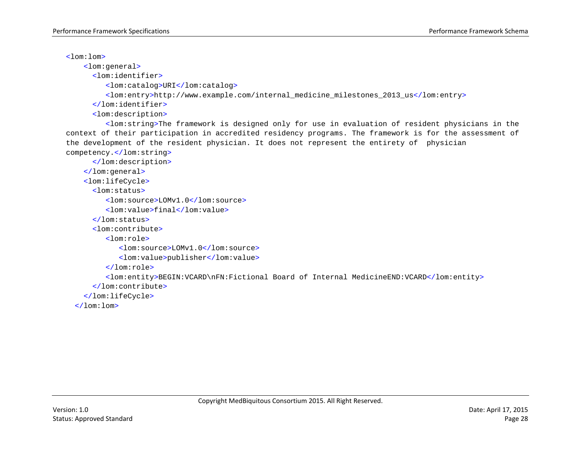$\leq$ lom:lom>

<lom:general>

<lom:identifier>

<lom:catalog>URI</lom:catalog>

<lom:entry>http://www.example.com/internal\_medicine\_milestones\_2013\_us</lom:entry>

</lom:identifier>

<lom:description>

<lom:string>The framework is designed only for use in evaluation of resident physicians in the context of their participation in accredited residency programs. The framework is for the assessment of the development of the resident physician. It does not represent the entirety of physician competency.</lom:string>

</lom:description>

</lom:general>

<lom:lifeCycle>

<lom:status>

<lom:source>LOMv1.0</lom:source>

<lom:value>final</lom:value>

```
</lom:status>
```
<lom:contribute>

<lom:role>

<lom:source>LOMv1.0</lom:source>

<lom:value>publisher</lom:value>

</lom:role>

<lom:entity>BEGIN:VCARD\nFN:Fictional Board of Internal MedicineEND:VCARD</lom:entity>

</lom:contribute>

</lom:lifeCycle>

 $\langle$ lom:lom>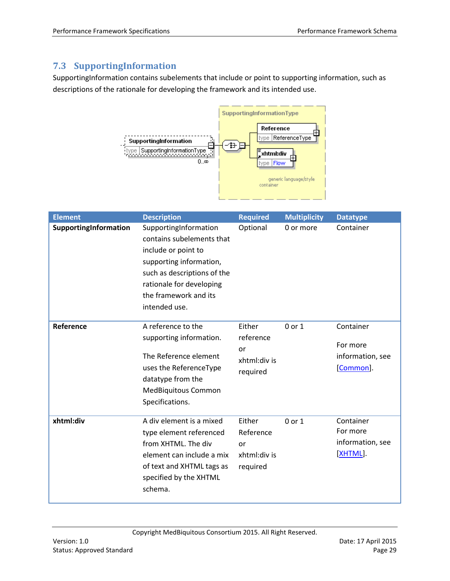## <span id="page-28-0"></span>**7.3 SupportingInformation**

SupportingInformation contains subelements that include or point to supporting information, such as descriptions of the rationale for developing the framework and its intended use.



| <b>Element</b>        | <b>Description</b>                                                                                                                                                                                        | <b>Required</b>                                       | <b>Multiplicity</b> | <b>Datatype</b>                                        |
|-----------------------|-----------------------------------------------------------------------------------------------------------------------------------------------------------------------------------------------------------|-------------------------------------------------------|---------------------|--------------------------------------------------------|
| SupportingInformation | SupportingInformation<br>contains subelements that<br>include or point to<br>supporting information,<br>such as descriptions of the<br>rationale for developing<br>the framework and its<br>intended use. | Optional                                              | 0 or more           | Container                                              |
| Reference             | A reference to the<br>supporting information.<br>The Reference element<br>uses the ReferenceType<br>datatype from the<br>MedBiquitous Common<br>Specifications.                                           | Either<br>reference<br>or<br>xhtml:div is<br>required | $0$ or $1$          | Container<br>For more<br>information, see<br>[Common]. |
| xhtml:div             | A div element is a mixed<br>type element referenced<br>from XHTML. The div<br>element can include a mix<br>of text and XHTML tags as<br>specified by the XHTML<br>schema.                                 | Either<br>Reference<br>or<br>xhtml:div is<br>required | $0$ or $1$          | Container<br>For more<br>information, see<br>[XHTML].  |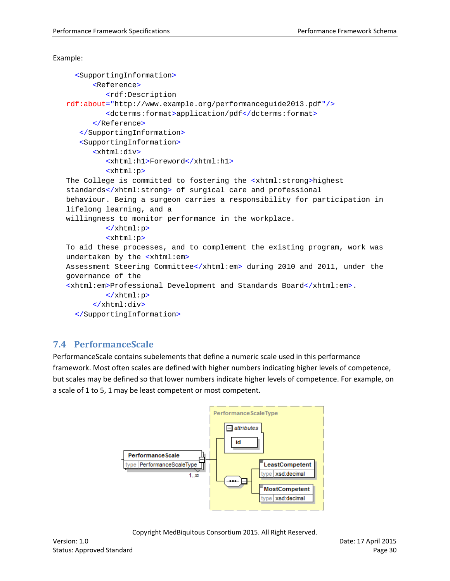#### Example:

```
 <SupportingInformation>
      <Reference>
         <rdf:Description
rdf:about="http://www.example.org/performanceguide2013.pdf"/>
         <dcterms:format>application/pdf</dcterms:format>
      </Reference>
   </SupportingInformation>
   <SupportingInformation>
      <xhtml:div>
         <xhtml:h1>Foreword</xhtml:h1>
         <xhtml:p>
The College is committed to fostering the <xhtml:strong>highest 
standards</xhtml:strong> of surgical care and professional
behaviour. Being a surgeon carries a responsibility for participation in 
lifelong learning, and a
willingness to monitor performance in the workplace.
         </xhtml:p>
         <xhtml:p>
To aid these processes, and to complement the existing program, work was 
undertaken by the <xhtml:em>
Assessment Steering Committee</xhtml:em> during 2010 and 2011, under the 
governance of the
<xhtml:em>Professional Development and Standards Board</xhtml:em>.
         </xhtml:p>
      </xhtml:div>
   </SupportingInformation>
```
## <span id="page-29-0"></span>**7.4 PerformanceScale**

PerformanceScale contains subelements that define a numeric scale used in this performance framework. Most often scales are defined with higher numbers indicating higher levels of competence, but scales may be defined so that lower numbers indicate higher levels of competence. For example, on a scale of 1 to 5, 1 may be least competent or most competent.

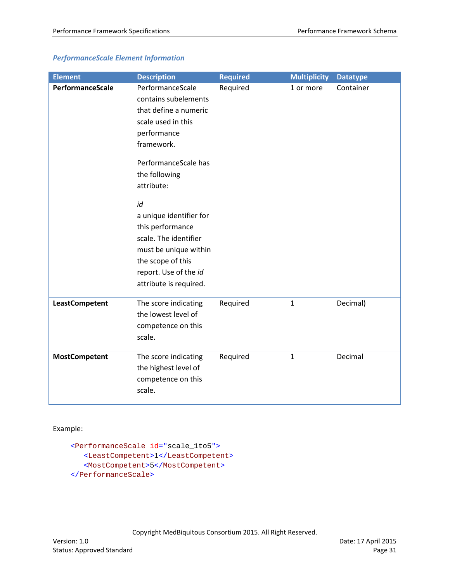| <b>Element</b>        | <b>Description</b>                                                                                                                                                          | <b>Required</b> | <b>Multiplicity</b> | <b>Datatype</b> |
|-----------------------|-----------------------------------------------------------------------------------------------------------------------------------------------------------------------------|-----------------|---------------------|-----------------|
| PerformanceScale      | PerformanceScale<br>contains subelements<br>that define a numeric<br>scale used in this<br>performance<br>framework.                                                        | Required        | 1 or more           | Container       |
|                       | PerformanceScale has<br>the following<br>attribute:                                                                                                                         |                 |                     |                 |
|                       | id<br>a unique identifier for<br>this performance<br>scale. The identifier<br>must be unique within<br>the scope of this<br>report. Use of the id<br>attribute is required. |                 |                     |                 |
| <b>LeastCompetent</b> | The score indicating<br>the lowest level of<br>competence on this<br>scale.                                                                                                 | Required        | $\mathbf{1}$        | Decimal)        |
| <b>MostCompetent</b>  | The score indicating<br>the highest level of<br>competence on this<br>scale.                                                                                                | Required        | $\mathbf{1}$        | Decimal         |

## *PerformanceScale Element Information*

Example:

```
<PerformanceScale id="scale_1to5">
   <LeastCompetent>1</LeastCompetent>
    <MostCompetent>5</MostCompetent>
</PerformanceScale>
```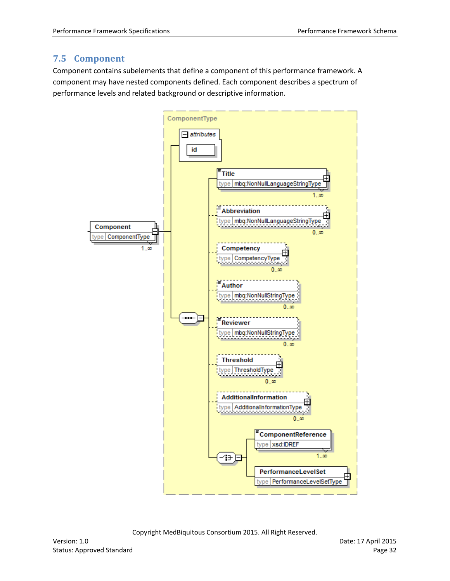## <span id="page-31-0"></span>**7.5 Component**

Component contains subelements that define a component of this performance framework. A component may have nested components defined. Each component describes a spectrum of performance levels and related background or descriptive information.

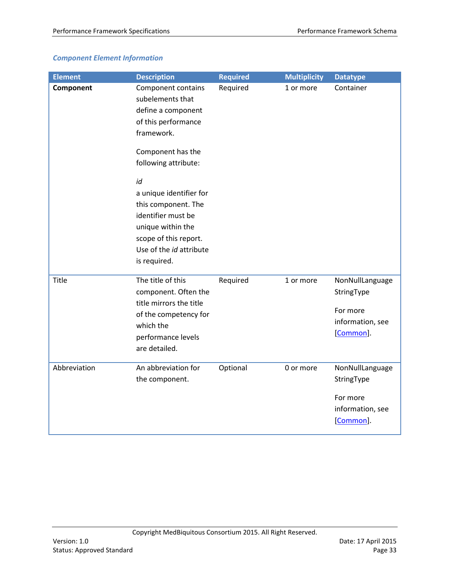## *Component Element Information*

| <b>Element</b> | <b>Description</b>                                                                                                                                                                                                                                                                                                    | <b>Required</b> | <b>Multiplicity</b> | <b>Datatype</b>                                                            |
|----------------|-----------------------------------------------------------------------------------------------------------------------------------------------------------------------------------------------------------------------------------------------------------------------------------------------------------------------|-----------------|---------------------|----------------------------------------------------------------------------|
| Component      | Component contains<br>subelements that<br>define a component<br>of this performance<br>framework.<br>Component has the<br>following attribute:<br>id<br>a unique identifier for<br>this component. The<br>identifier must be<br>unique within the<br>scope of this report.<br>Use of the id attribute<br>is required. | Required        | 1 or more           | Container                                                                  |
| Title          | The title of this<br>component. Often the<br>title mirrors the title<br>of the competency for<br>which the<br>performance levels<br>are detailed.                                                                                                                                                                     | Required        | 1 or more           | NonNullLanguage<br>StringType<br>For more<br>information, see<br>[Common]. |
| Abbreviation   | An abbreviation for<br>the component.                                                                                                                                                                                                                                                                                 | Optional        | 0 or more           | NonNullLanguage<br>StringType<br>For more<br>information, see<br>[Common]. |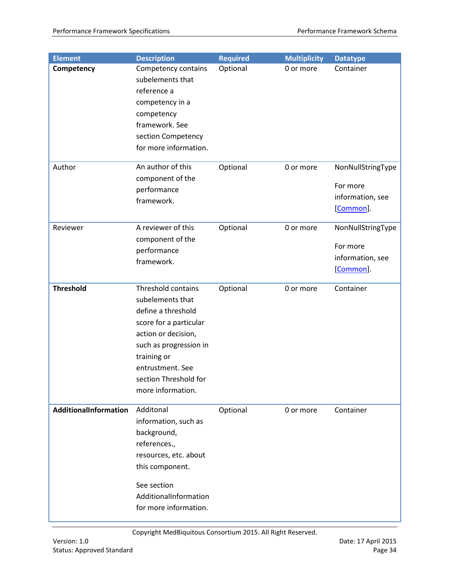| <b>Element</b>        | <b>Description</b>                                                                                                                                                                                                       | <b>Required</b> | <b>Multiplicity</b> | <b>Datatype</b>                                                |
|-----------------------|--------------------------------------------------------------------------------------------------------------------------------------------------------------------------------------------------------------------------|-----------------|---------------------|----------------------------------------------------------------|
| Competency            | Competency contains<br>subelements that<br>reference a<br>competency in a<br>competency<br>framework. See<br>section Competency<br>for more information.                                                                 | Optional        | 0 or more           | Container                                                      |
| Author                | An author of this<br>component of the<br>performance<br>framework.                                                                                                                                                       | Optional        | 0 or more           | NonNullStringType<br>For more<br>information, see<br>[Common]. |
| Reviewer              | A reviewer of this<br>component of the<br>performance<br>framework.                                                                                                                                                      | Optional        | 0 or more           | NonNullStringType<br>For more<br>information, see<br>[Common]. |
| <b>Threshold</b>      | Threshold contains<br>subelements that<br>define a threshold<br>score for a particular<br>action or decision,<br>such as progression in<br>training or<br>entrustment. See<br>section Threshold for<br>more information. | Optional        | 0 or more           | Container                                                      |
| AdditionalInformation | Additonal<br>information, such as<br>background,<br>references.,<br>resources, etc. about<br>this component.<br>See section<br>AdditionalInformation<br>for more information.                                            | Optional        | 0 or more           | Container                                                      |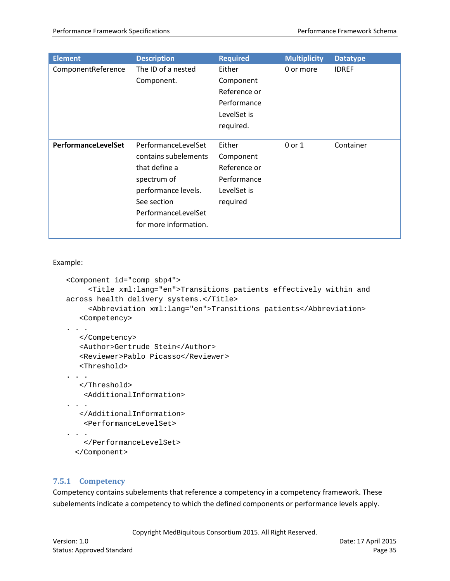| <b>Element</b>             | <b>Description</b>                                                                                                                                                | <b>Required</b>                                                                | <b>Multiplicity</b> | <b>Datatype</b> |
|----------------------------|-------------------------------------------------------------------------------------------------------------------------------------------------------------------|--------------------------------------------------------------------------------|---------------------|-----------------|
| ComponentReference         | The ID of a nested<br>Component.                                                                                                                                  | Either<br>Component<br>Reference or<br>Performance<br>LevelSet is<br>required. | 0 or more           | <b>IDREF</b>    |
| <b>PerformanceLevelSet</b> | PerformanceLevelSet<br>contains subelements<br>that define a<br>spectrum of<br>performance levels.<br>See section<br>PerformanceLevelSet<br>for more information. | Either<br>Component<br>Reference or<br>Performance<br>LevelSet is<br>required  | 0 or 1              | Container       |

Example:

```
<Component id="comp_sbp4">
      <Title xml:lang="en">Transitions patients effectively within and 
across health delivery systems.</Title>
      <Abbreviation xml:lang="en">Transitions patients</Abbreviation>
   <Competency>
. . .
   </Competency>
   <Author>Gertrude Stein</Author>
   <Reviewer>Pablo Picasso</Reviewer>
    <Threshold>
. . . .
    </Threshold>
     <AdditionalInformation>
. . .
   </AdditionalInformation>
     <PerformanceLevelSet>
. . .
     </PerformanceLevelSet>
   </Component>
```
## <span id="page-34-0"></span>**7.5.1 Competency**

Competency contains subelements that reference a competency in a competency framework. These subelements indicate a competency to which the defined components or performance levels apply.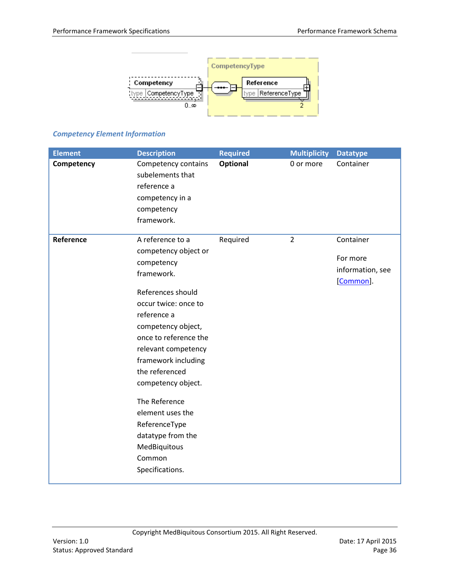

## *Competency Element Information*

| <b>Element</b> | <b>Description</b>                      | <b>Required</b> | <b>Multiplicity</b> | <b>Datatype</b>  |
|----------------|-----------------------------------------|-----------------|---------------------|------------------|
| Competency     | Competency contains<br>subelements that | <b>Optional</b> | 0 or more           | Container        |
|                | reference a                             |                 |                     |                  |
|                | competency in a                         |                 |                     |                  |
|                | competency                              |                 |                     |                  |
|                | framework.                              |                 |                     |                  |
| Reference      | A reference to a                        | Required        | $\overline{2}$      | Container        |
|                | competency object or                    |                 |                     |                  |
|                | competency                              |                 |                     | For more         |
|                | framework.                              |                 |                     | information, see |
|                |                                         |                 |                     | [Common].        |
|                | References should                       |                 |                     |                  |
|                | occur twice: once to                    |                 |                     |                  |
|                | reference a                             |                 |                     |                  |
|                | competency object,                      |                 |                     |                  |
|                | once to reference the                   |                 |                     |                  |
|                | relevant competency                     |                 |                     |                  |
|                | framework including                     |                 |                     |                  |
|                | the referenced                          |                 |                     |                  |
|                | competency object.                      |                 |                     |                  |
|                | The Reference                           |                 |                     |                  |
|                | element uses the                        |                 |                     |                  |
|                | ReferenceType                           |                 |                     |                  |
|                | datatype from the                       |                 |                     |                  |
|                | MedBiquitous                            |                 |                     |                  |
|                | Common                                  |                 |                     |                  |
|                | Specifications.                         |                 |                     |                  |
|                |                                         |                 |                     |                  |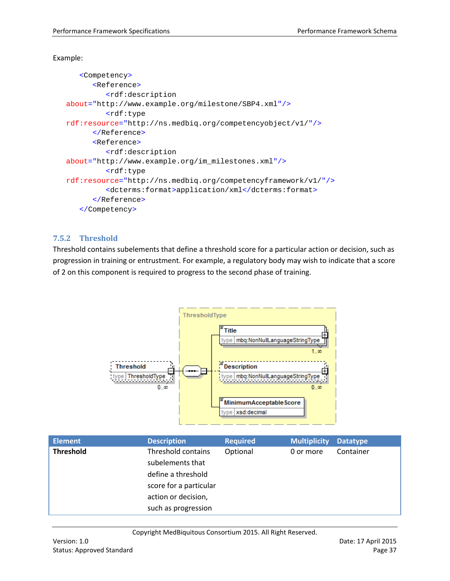#### Example:

```
<Competency>
      <Reference>
         <rdf:description
about="http://www.example.org/milestone/SBP4.xml"/>
         <rdf:type
rdf:resource="http://ns.medbiq.org/competencyobject/v1/"/>
      </Reference>
      <Reference>
         <rdf:description
about="http://www.example.org/im_milestones.xml"/>
         <rdf:type
rdf:resource="http://ns.medbiq.org/competencyframework/v1/"/>
         <dcterms:format>application/xml</dcterms:format>
      </Reference>
   </Competency>
```
#### <span id="page-36-0"></span>**7.5.2 Threshold**

Threshold contains subelements that define a threshold score for a particular action or decision, such as progression in training or entrustment. For example, a regulatory body may wish to indicate that a score of 2 on this component is required to progress to the second phase of training.



| <b>Threshold</b><br>Threshold contains<br>Optional<br>Container<br>0 or more<br>subelements that<br>define a threshold<br>score for a particular<br>action or decision,<br>such as progression | <b>Element</b> | <b>Description</b> | <b>Required</b> | <b>Multiplicity</b> | <b>Datatype</b> |
|------------------------------------------------------------------------------------------------------------------------------------------------------------------------------------------------|----------------|--------------------|-----------------|---------------------|-----------------|
|                                                                                                                                                                                                |                |                    |                 |                     |                 |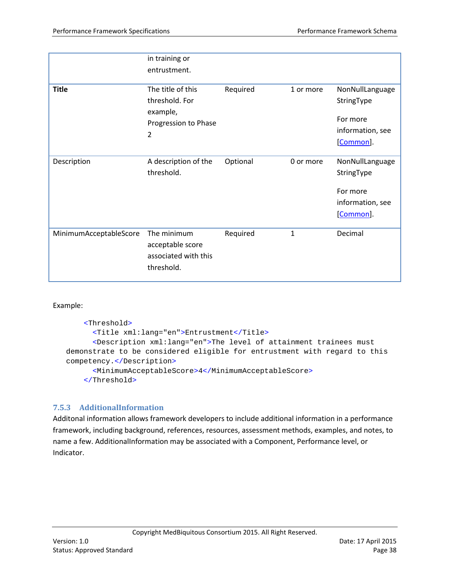|                        | in training or<br>entrustment.                                               |          |              |                                                                            |
|------------------------|------------------------------------------------------------------------------|----------|--------------|----------------------------------------------------------------------------|
| <b>Title</b>           | The title of this<br>threshold. For<br>example,<br>Progression to Phase<br>2 | Required | 1 or more    | NonNullLanguage<br>StringType<br>For more<br>information, see<br>[Common]. |
| Description            | A description of the<br>threshold.                                           | Optional | 0 or more    | NonNullLanguage<br>StringType<br>For more<br>information, see<br>[Common]. |
| MinimumAcceptableScore | The minimum<br>acceptable score<br>associated with this<br>threshold.        | Required | $\mathbf{1}$ | Decimal                                                                    |

Example:

```
 <Threshold>
      <Title xml:lang="en">Entrustment</Title>
      <Description xml:lang="en">The level of attainment trainees must 
demonstrate to be considered eligible for entrustment with regard to this
competency.</Description>
      <MinimumAcceptableScore>4</MinimumAcceptableScore>
     </Threshold>
```
## <span id="page-37-0"></span>**7.5.3 AdditionalInformation**

Additonal information allows framework developers to include additional information in a performance framework, including background, references, resources, assessment methods, examples, and notes, to name a few. AdditionalInformation may be associated with a Component, Performance level, or Indicator.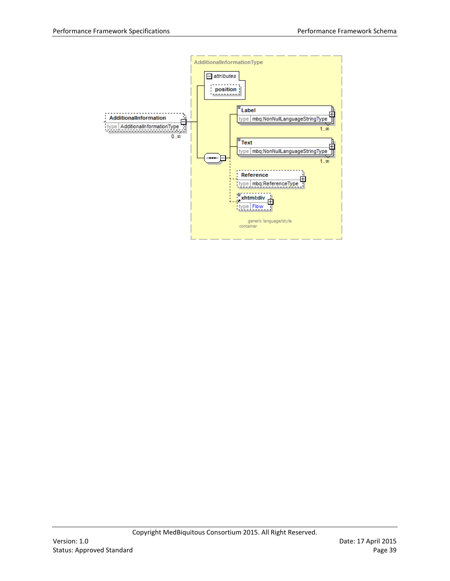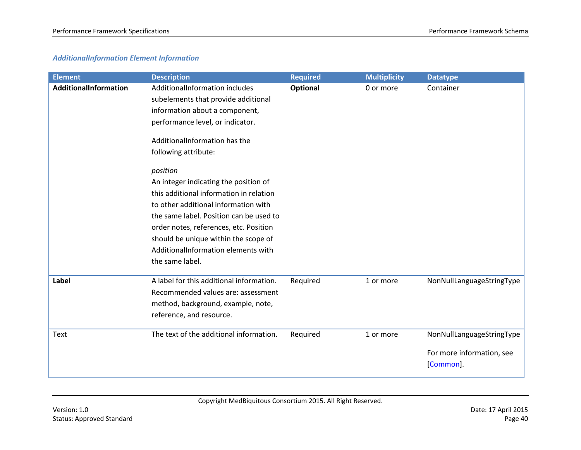#### *AdditionalInformation Element Information*

| <b>Element</b>        | <b>Description</b>                                                                                                                                                                                                                                                                                                                                                                                                                                                                                                                  | <b>Required</b> | <b>Multiplicity</b> | <b>Datatype</b>                                                    |
|-----------------------|-------------------------------------------------------------------------------------------------------------------------------------------------------------------------------------------------------------------------------------------------------------------------------------------------------------------------------------------------------------------------------------------------------------------------------------------------------------------------------------------------------------------------------------|-----------------|---------------------|--------------------------------------------------------------------|
| AdditionalInformation | AdditionalInformation includes<br>subelements that provide additional<br>information about a component,<br>performance level, or indicator.<br>AdditionalInformation has the<br>following attribute:<br>position<br>An integer indicating the position of<br>this additional information in relation<br>to other additional information with<br>the same label. Position can be used to<br>order notes, references, etc. Position<br>should be unique within the scope of<br>AdditionalInformation elements with<br>the same label. | Optional        | 0 or more           | Container                                                          |
| Label                 | A label for this additional information.<br>Recommended values are: assessment<br>method, background, example, note,<br>reference, and resource.                                                                                                                                                                                                                                                                                                                                                                                    | Required        | 1 or more           | NonNullLanguageStringType                                          |
| Text                  | The text of the additional information.                                                                                                                                                                                                                                                                                                                                                                                                                                                                                             | Required        | 1 or more           | NonNullLanguageStringType<br>For more information, see<br>[Common] |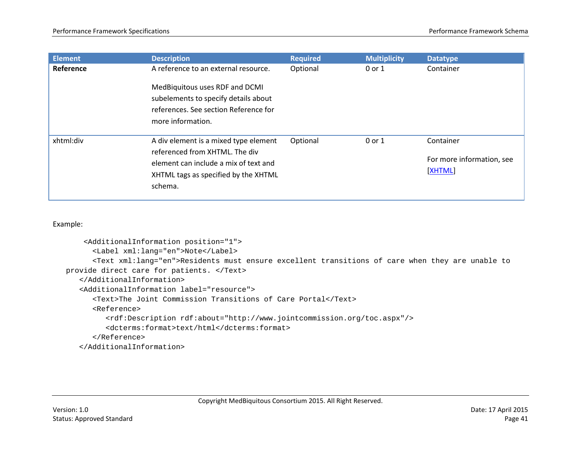| <b>Element</b> | <b>Description</b>                                                                                                                                                  | <b>Required</b> | <b>Multiplicity</b> | <b>Datatype</b>                                   |
|----------------|---------------------------------------------------------------------------------------------------------------------------------------------------------------------|-----------------|---------------------|---------------------------------------------------|
| Reference      | A reference to an external resource.                                                                                                                                | Optional        | $0$ or $1$          | Container                                         |
|                | MedBiquitous uses RDF and DCMI<br>subelements to specify details about<br>references. See section Reference for<br>more information.                                |                 |                     |                                                   |
| xhtml:div      | A div element is a mixed type element<br>referenced from XHTML. The div<br>element can include a mix of text and<br>XHTML tags as specified by the XHTML<br>schema. | Optional        | $0$ or $1$          | Container<br>For more information, see<br>[XHTML] |

Example:

```
 <AdditionalInformation position="1">
      <Label xml:lang="en">Note</Label>
      <Text xml:lang="en">Residents must ensure excellent transitions of care when they are unable to 
provide direct care for patients. </Text>
   </AdditionalInformation>
   <AdditionalInformation label="resource">
      <Text>The Joint Commission Transitions of Care Portal</Text>
      <Reference>
         <rdf:Description rdf:about="http://www.jointcommission.org/toc.aspx"/>
         <dcterms:format>text/html</dcterms:format>
      </Reference>
   </AdditionalInformation>
```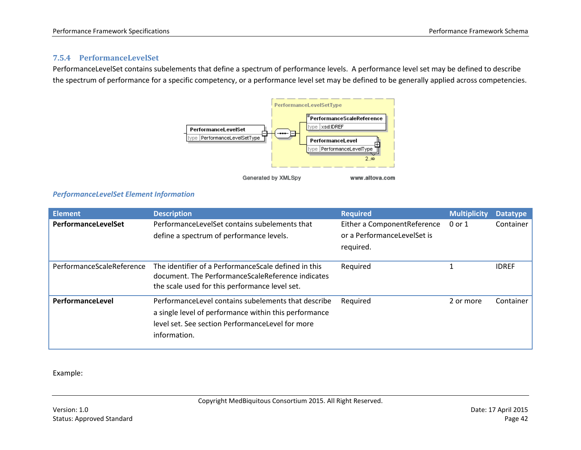#### **7.5.4 PerformanceLevelSet**

PerformanceLevelSet contains subelements that define a spectrum of performance levels. A performance level set may be defined to describe the spectrum of performance for a specific competency, or a performance level set may be defined to be generally applied across competencies.



#### <span id="page-41-0"></span>*PerformanceLevelSet Element Information*

| <b>Element</b>            | <b>Description</b>                                                                                         | <b>Required</b>             | <b>Multiplicity</b> | <b>Datatype</b> |
|---------------------------|------------------------------------------------------------------------------------------------------------|-----------------------------|---------------------|-----------------|
| PerformanceLevelSet       | PerformanceLevelSet contains subelements that                                                              | Either a ComponentReference | 0 or 1              | Container       |
|                           | define a spectrum of performance levels.                                                                   | or a PerformanceLevelSet is |                     |                 |
|                           |                                                                                                            | required.                   |                     |                 |
|                           |                                                                                                            |                             |                     |                 |
| PerformanceScaleReference | The identifier of a Performance Scale defined in this<br>document. The PerformanceScaleReference indicates | Required                    |                     | <b>IDREF</b>    |
|                           | the scale used for this performance level set.                                                             |                             |                     |                 |
| PerformanceLevel          | PerformanceLevel contains subelements that describe                                                        | Required                    | 2 or more           | Container       |
|                           | a single level of performance within this performance                                                      |                             |                     |                 |
|                           | level set. See section PerformanceLevel for more                                                           |                             |                     |                 |
|                           | information.                                                                                               |                             |                     |                 |
|                           |                                                                                                            |                             |                     |                 |

Example: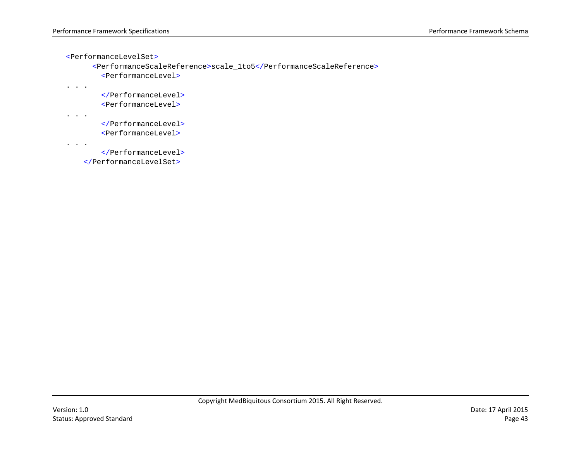```
<PerformanceLevelSet>
```

```
<PerformanceScaleReference>scale_1to5</PerformanceScaleReference>
   <PerformanceLevel>
```

```
 </PerformanceLevel>
 <PerformanceLevel>
```

```
. . .
```
. . .

```
 </PerformanceLevel>
 <PerformanceLevel>
```

```
. . .
```

```
 </PerformanceLevel>
```

```
 </PerformanceLevelSet>
```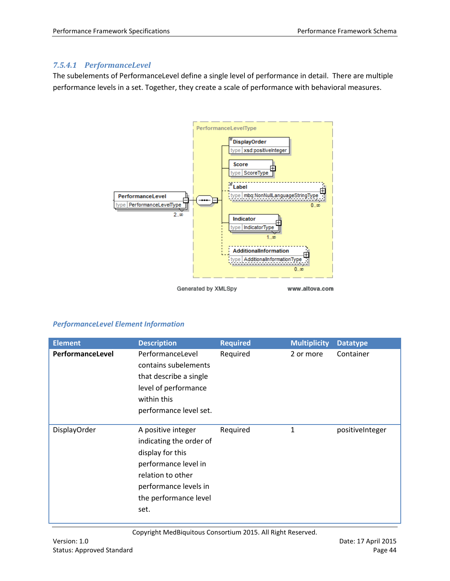#### *7.5.4.1 PerformanceLevel*

The subelements of PerformanceLevel define a single level of performance in detail. There are multiple performance levels in a set. Together, they create a scale of performance with behavioral measures.



#### *PerformanceLevel Element Information*

| <b>Element</b>      | <b>Description</b>                                                                                                                                                       | <b>Required</b> | <b>Multiplicity</b> | <b>Datatype</b> |
|---------------------|--------------------------------------------------------------------------------------------------------------------------------------------------------------------------|-----------------|---------------------|-----------------|
| PerformanceLevel    | PerformanceLevel<br>contains subelements<br>that describe a single<br>level of performance<br>within this<br>performance level set.                                      | Required        | 2 or more           | Container       |
| <b>DisplayOrder</b> | A positive integer<br>indicating the order of<br>display for this<br>performance level in<br>relation to other<br>performance levels in<br>the performance level<br>set. | Required        | 1                   | positiveInteger |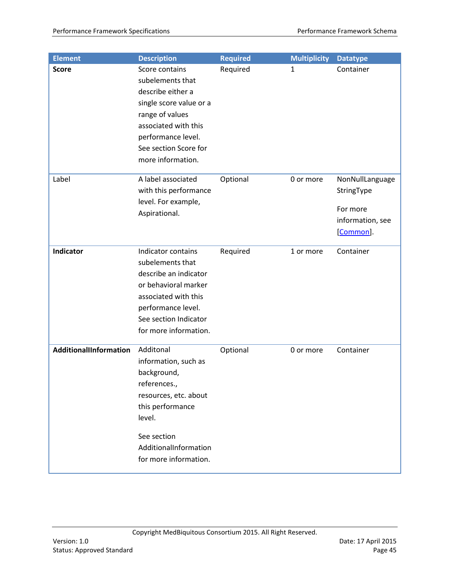| <b>Element</b>         | <b>Description</b>                                                                                                                                                                                | <b>Required</b> | <b>Multiplicity</b> | <b>Datatype</b>                                                            |
|------------------------|---------------------------------------------------------------------------------------------------------------------------------------------------------------------------------------------------|-----------------|---------------------|----------------------------------------------------------------------------|
| <b>Score</b>           | Score contains<br>subelements that<br>describe either a<br>single score value or a<br>range of values<br>associated with this<br>performance level.<br>See section Score for<br>more information. | Required        | 1                   | Container                                                                  |
| Label                  | A label associated<br>with this performance<br>level. For example,<br>Aspirational.                                                                                                               | Optional        | 0 or more           | NonNullLanguage<br>StringType<br>For more<br>information, see<br>[Common]. |
| <b>Indicator</b>       | Indicator contains<br>subelements that<br>describe an indicator<br>or behavioral marker<br>associated with this<br>performance level.<br>See section Indicator<br>for more information.           | Required        | 1 or more           | Container                                                                  |
| AdditionalIInformation | Additonal<br>information, such as<br>background,<br>references.,<br>resources, etc. about<br>this performance<br>level.<br>See section<br>AdditionalInformation<br>for more information.          | Optional        | 0 or more           | Container                                                                  |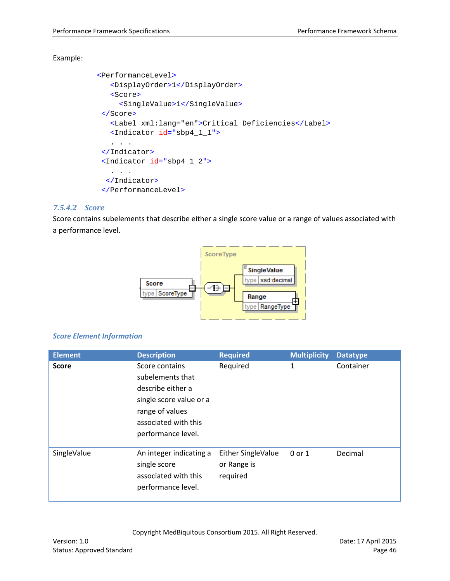#### Example:

```
 <PerformanceLevel>
    <DisplayOrder>1</DisplayOrder>
    <Score>
     <SingleValue>1</SingleValue>
  </Score>
    <Label xml:lang="en">Critical Deficiencies</Label> 
    <Indicator id="sbp4_1_1">
   . . .
  </Indicator>
  <Indicator id="sbp4_1_2">
   . . .
   </Indicator>
  </PerformanceLevel>
```
#### *7.5.4.2 Score*

Score contains subelements that describe either a single score value or a range of values associated with a performance level.



#### *Score Element Information*

| <b>Element</b> | <b>Description</b>                                                                                                                                  | <b>Required</b>                               | <b>Multiplicity</b> | <b>Datatype</b> |
|----------------|-----------------------------------------------------------------------------------------------------------------------------------------------------|-----------------------------------------------|---------------------|-----------------|
| <b>Score</b>   | Score contains<br>subelements that<br>describe either a<br>single score value or a<br>range of values<br>associated with this<br>performance level. | Required                                      | 1                   | Container       |
| SingleValue    | An integer indicating a<br>single score<br>associated with this<br>performance level.                                                               | Either SingleValue<br>or Range is<br>required | $0$ or $1$          | Decimal         |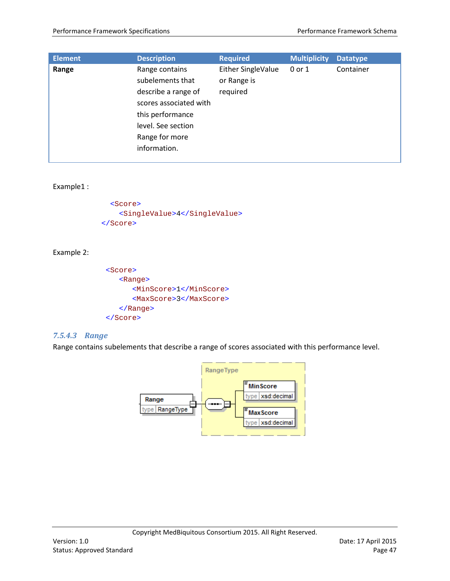| <b>Element</b> | <b>Description</b>     | <b>Required</b>    | <b>Multiplicity</b> | <b>Datatype</b> |
|----------------|------------------------|--------------------|---------------------|-----------------|
| Range          | Range contains         | Either SingleValue | $0$ or $1$          | Container       |
|                | subelements that       | or Range is        |                     |                 |
|                | describe a range of    | required           |                     |                 |
|                | scores associated with |                    |                     |                 |
|                | this performance       |                    |                     |                 |
|                | level. See section     |                    |                     |                 |
|                | Range for more         |                    |                     |                 |
|                | information.           |                    |                     |                 |
|                |                        |                    |                     |                 |

#### Example1 :

```
 <Score>
    <SingleValue>4</SingleValue>
 </Score>
```
#### Example 2:

```
<Score>
   <Range>
      <MinScore>1</MinScore>
      <MaxScore>3</MaxScore>
   </Range>
</Score>
```
#### *7.5.4.3 Range*

Range contains subelements that describe a range of scores associated with this performance level.

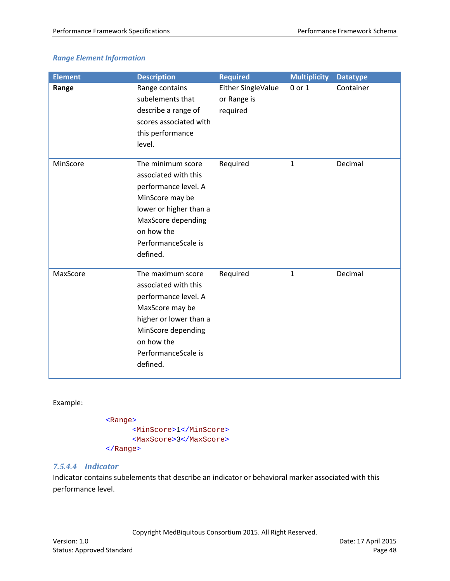## *Range Element Information*

| <b>Element</b> | <b>Description</b>                                                                                                                                                                    | <b>Required</b>                               | <b>Multiplicity</b> | <b>Datatype</b> |
|----------------|---------------------------------------------------------------------------------------------------------------------------------------------------------------------------------------|-----------------------------------------------|---------------------|-----------------|
| Range          | Range contains<br>subelements that<br>describe a range of<br>scores associated with<br>this performance<br>level.                                                                     | Either SingleValue<br>or Range is<br>required | 0 or 1              | Container       |
| MinScore       | The minimum score<br>associated with this<br>performance level. A<br>MinScore may be<br>lower or higher than a<br>MaxScore depending<br>on how the<br>PerformanceScale is<br>defined. | Required                                      | $\mathbf{1}$        | Decimal         |
| MaxScore       | The maximum score<br>associated with this<br>performance level. A<br>MaxScore may be<br>higher or lower than a<br>MinScore depending<br>on how the<br>PerformanceScale is<br>defined. | Required                                      | $\mathbf{1}$        | Decimal         |

Example:

<Range> <MinScore>1</MinScore> <MaxScore>3</MaxScore> </Range>

#### *7.5.4.4 Indicator*

Indicator contains subelements that describe an indicator or behavioral marker associated with this performance level.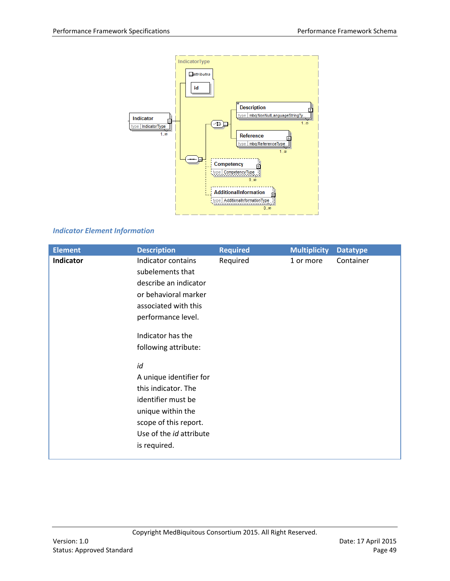

## *Indicator Element Information*

| <b>Element</b> | <b>Description</b>                                                                                                                                                                                                                                                                    | <b>Required</b> | <b>Multiplicity</b> | <b>Datatype</b> |
|----------------|---------------------------------------------------------------------------------------------------------------------------------------------------------------------------------------------------------------------------------------------------------------------------------------|-----------------|---------------------|-----------------|
| Indicator      | Indicator contains<br>subelements that<br>describe an indicator<br>or behavioral marker<br>associated with this<br>performance level.<br>Indicator has the<br>following attribute:<br>id<br>A unique identifier for<br>this indicator. The<br>identifier must be<br>unique within the | Required        | 1 or more           | Container       |
|                | scope of this report.<br>Use of the id attribute                                                                                                                                                                                                                                      |                 |                     |                 |
|                |                                                                                                                                                                                                                                                                                       |                 |                     |                 |
|                | is required.                                                                                                                                                                                                                                                                          |                 |                     |                 |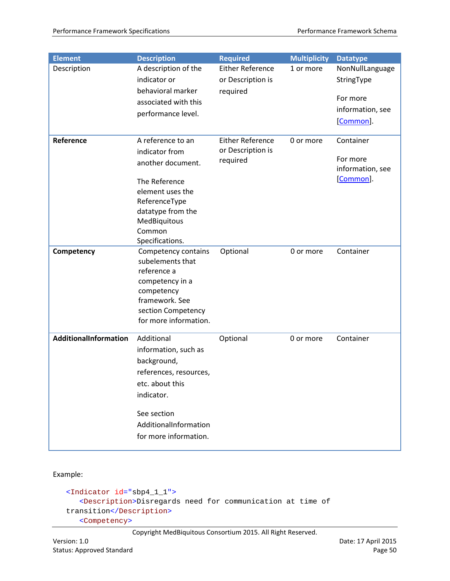| <b>Element</b>        | <b>Description</b>                      | <b>Required</b>         | <b>Multiplicity</b> | <b>Datatype</b>  |
|-----------------------|-----------------------------------------|-------------------------|---------------------|------------------|
| Description           | A description of the                    | <b>Either Reference</b> | 1 or more           | NonNullLanguage  |
|                       | indicator or                            | or Description is       |                     | StringType       |
|                       | behavioral marker                       | required                |                     | For more         |
|                       | associated with this                    |                         |                     | information, see |
|                       | performance level.                      |                         |                     | [Common].        |
| Reference             | A reference to an                       | <b>Either Reference</b> | 0 or more           | Container        |
|                       | indicator from                          | or Description is       |                     |                  |
|                       | another document.                       | required                |                     | For more         |
|                       |                                         |                         |                     | information, see |
|                       | The Reference                           |                         |                     | [Common].        |
|                       | element uses the                        |                         |                     |                  |
|                       | ReferenceType                           |                         |                     |                  |
|                       | datatype from the<br>MedBiquitous       |                         |                     |                  |
|                       | Common                                  |                         |                     |                  |
|                       | Specifications.                         |                         |                     |                  |
| Competency            | Competency contains<br>subelements that | Optional                | 0 or more           | Container        |
|                       | reference a                             |                         |                     |                  |
|                       | competency in a                         |                         |                     |                  |
|                       | competency                              |                         |                     |                  |
|                       | framework. See                          |                         |                     |                  |
|                       | section Competency                      |                         |                     |                  |
|                       | for more information.                   |                         |                     |                  |
| AdditionalInformation | Additional                              | Optional                | 0 or more           | Container        |
|                       | information, such as                    |                         |                     |                  |
|                       | background,                             |                         |                     |                  |
|                       | references, resources,                  |                         |                     |                  |
|                       | etc. about this                         |                         |                     |                  |
|                       | indicator.                              |                         |                     |                  |
|                       | See section                             |                         |                     |                  |
|                       | AdditionalInformation                   |                         |                     |                  |
|                       | for more information.                   |                         |                     |                  |
|                       |                                         |                         |                     |                  |

Example:

```
<Indicator id="sbp4_1_1">
  <Description>Disregards need for communication at time of 
transition</Description>
   <Competency>
```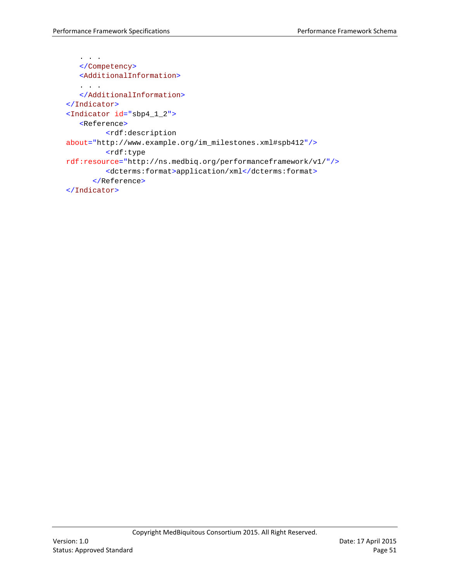```
. . .
   </Competency>
   <AdditionalInformation>
   . . . . .
   </AdditionalInformation>
</Indicator>
<Indicator id="sbp4_1_2">
   <Reference>
         <rdf:description
about="http://www.example.org/im_milestones.xml#spb412"/>
         <rdf:type
rdf:resource="http://ns.medbiq.org/performanceframework/v1/"/>
         <dcterms:format>application/xml</dcterms:format>
      </Reference>
</Indicator>
```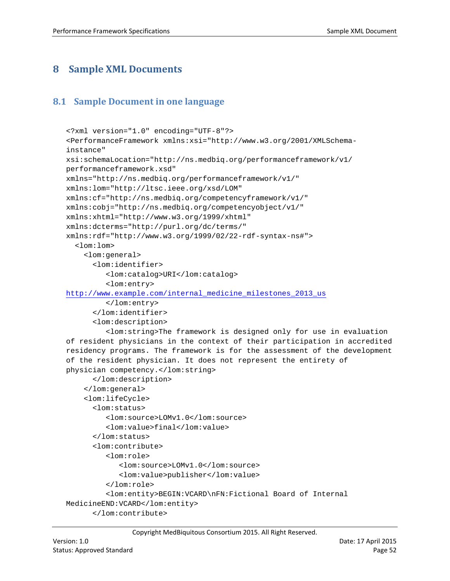# <span id="page-51-0"></span>**8 Sample XML Documents**

## <span id="page-51-1"></span>**8.1 Sample Document in one language**

```
<?xml version="1.0" encoding="UTF-8"?>
<PerformanceFramework xmlns:xsi="http://www.w3.org/2001/XMLSchema-
instance" 
xsi:schemaLocation="http://ns.medbiq.org/performanceframework/v1/ 
performanceframework.xsd" 
xmlns="http://ns.medbiq.org/performanceframework/v1/" 
xmlns:lom="http://ltsc.ieee.org/xsd/LOM" 
xmlns:cf="http://ns.medbiq.org/competencyframework/v1/" 
xmlns:cobj="http://ns.medbiq.org/competencyobject/v1/" 
xmlns:xhtml="http://www.w3.org/1999/xhtml" 
xmlns:dcterms="http://purl.org/dc/terms/" 
xmlns:rdf="http://www.w3.org/1999/02/22-rdf-syntax-ns#">
   <lom:lom>
     <lom:general>
      <lom:identifier>
         <lom:catalog>URI</lom:catalog>
         <lom:entry>
http://www.example.com/internal_medicine_milestones_2013_us
         </lom:entry>
      </lom:identifier>
      <lom:description>
         <lom:string>The framework is designed only for use in evaluation 
of resident physicians in the context of their participation in accredited 
residency programs. The framework is for the assessment of the development 
of the resident physician. It does not represent the entirety of 
physician competency.</lom:string>
      </lom:description>
     </lom:general>
     <lom:lifeCycle>
      <lom:status>
         <lom:source>LOMv1.0</lom:source>
         <lom:value>final</lom:value>
      </lom:status>
      <lom:contribute>
         <lom:role>
            <lom:source>LOMv1.0</lom:source>
            <lom:value>publisher</lom:value>
         </lom:role>
         <lom:entity>BEGIN:VCARD\nFN:Fictional Board of Internal 
MedicineEND:VCARD</lom:entity>
      </lom:contribute>
```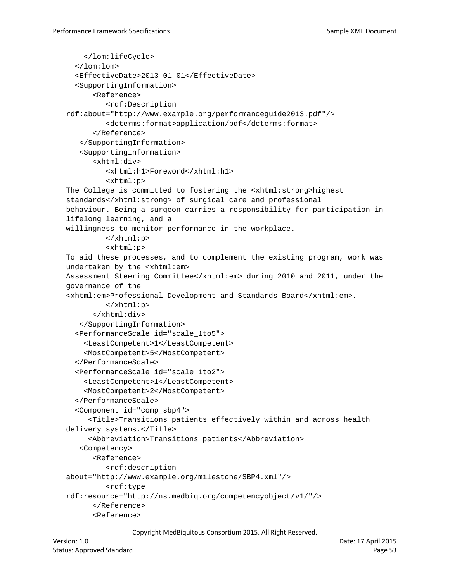```
 </lom:lifeCycle>
  \lt/lom:lom>
   <EffectiveDate>2013-01-01</EffectiveDate>
   <SupportingInformation>
      <Reference>
         <rdf:Description 
rdf:about="http://www.example.org/performanceguide2013.pdf"/>
         <dcterms:format>application/pdf</dcterms:format>
      </Reference>
   </SupportingInformation>
   <SupportingInformation>
      <xhtml:div>
         <xhtml:h1>Foreword</xhtml:h1>
         <xhtml:p>
The College is committed to fostering the <xhtml:strong>highest 
standards</xhtml:strong> of surgical care and professional
behaviour. Being a surgeon carries a responsibility for participation in 
lifelong learning, and a
willingness to monitor performance in the workplace.
         </xhtml:p>
         <xhtml:p>
To aid these processes, and to complement the existing program, work was 
undertaken by the <xhtml:em>
Assessment Steering Committee</xhtml:em> during 2010 and 2011, under the 
governance of the
<xhtml:em>Professional Development and Standards Board</xhtml:em>.
         </xhtml:p>
      </xhtml:div>
   </SupportingInformation>
   <PerformanceScale id="scale_1to5">
     <LeastCompetent>1</LeastCompetent>
     <MostCompetent>5</MostCompetent>
   </PerformanceScale>
   <PerformanceScale id="scale_1to2">
     <LeastCompetent>1</LeastCompetent>
     <MostCompetent>2</MostCompetent>
   </PerformanceScale>
   <Component id="comp_sbp4">
      <Title>Transitions patients effectively within and across health 
delivery systems.</Title>
      <Abbreviation>Transitions patients</Abbreviation>
   <Competency>
      <Reference>
         <rdf:description 
about="http://www.example.org/milestone/SBP4.xml"/>
         <rdf:type 
rdf:resource="http://ns.medbiq.org/competencyobject/v1/"/>
      </Reference>
      <Reference>
```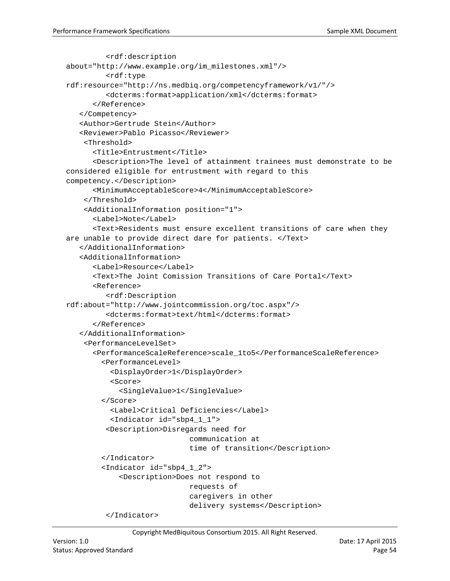```
<rdf:description 
about="http://www.example.org/im_milestones.xml"/>
         <rdf:type 
rdf:resource="http://ns.medbiq.org/competencyframework/v1/"/>
         <dcterms:format>application/xml</dcterms:format>
      </Reference>
   </Competency>
   <Author>Gertrude Stein</Author>
   <Reviewer>Pablo Picasso</Reviewer>
     <Threshold>
      <Title>Entrustment</Title>
      <Description>The level of attainment trainees must demonstrate to be 
considered eligible for entrustment with regard to this 
competency.</Description>
      <MinimumAcceptableScore>4</MinimumAcceptableScore>
     </Threshold>
     <AdditionalInformation position="1">
      <Label>Note</Label>
      <Text>Residents must ensure excellent transitions of care when they 
are unable to provide direct dare for patients. </Text>
   </AdditionalInformation>
   <AdditionalInformation>
      <Label>Resource</Label>
      <Text>The Joint Comission Transitions of Care Portal</Text>
      <Reference>
         <rdf:Description 
rdf:about="http://www.jointcommission.org/toc.aspx"/>
         <dcterms:format>text/html</dcterms:format>
      </Reference>
   </AdditionalInformation>
     <PerformanceLevelSet>
      <PerformanceScaleReference>scale_1to5</PerformanceScaleReference>
         <PerformanceLevel>
           <DisplayOrder>1</DisplayOrder>
           <Score>
            <SingleValue>1</SingleValue>
         </Score>
           <Label>Critical Deficiencies</Label> 
           <Indicator id="sbp4_1_1">
         <Description>Disregards need for 
                              communication at 
                             time of transition</Description>
         </Indicator>
         <Indicator id="sbp4_1_2">
            <Description>Does not respond to 
                              requests of 
                             caregivers in other 
                              delivery systems</Description>
          </Indicator>
```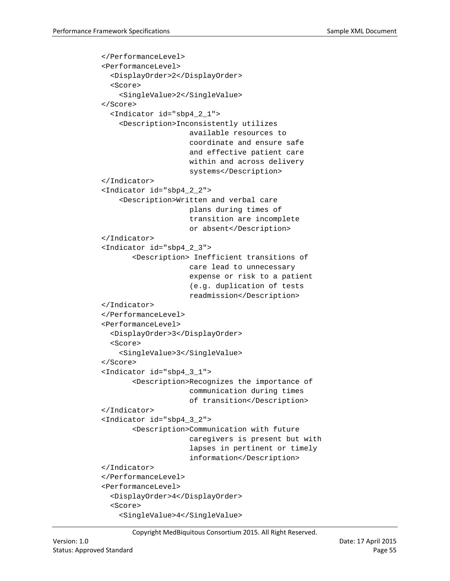```
 </PerformanceLevel>
 <PerformanceLevel>
   <DisplayOrder>2</DisplayOrder>
   <Score>
    <SingleValue>2</SingleValue>
 </Score>
   <Indicator id="sbp4_2_1">
    <Description>Inconsistently utilizes 
                      available resources to 
                     coordinate and ensure safe 
                     and effective patient care 
                     within and across delivery 
                     systems</Description>
 </Indicator>
 <Indicator id="sbp4_2_2">
    <Description>Written and verbal care 
                      plans during times of 
                     transition are incomplete 
                     or absent</Description>
 </Indicator>
 <Indicator id="sbp4_2_3">
       <Description> Inefficient transitions of 
                      care lead to unnecessary 
                     expense or risk to a patient
                     (e.g. duplication of tests 
                     readmission</Description>
 </Indicator>
 </PerformanceLevel>
 <PerformanceLevel>
   <DisplayOrder>3</DisplayOrder>
   <Score>
    <SingleValue>3</SingleValue>
 </Score>
 <Indicator id="sbp4_3_1">
       <Description>Recognizes the importance of 
                      communication during times 
                     of transition</Description>
 </Indicator>
 <Indicator id="sbp4_3_2">
       <Description>Communication with future 
                      caregivers is present but with 
                     lapses in pertinent or timely
                     information</Description>
 </Indicator>
 </PerformanceLevel>
 <PerformanceLevel>
   <DisplayOrder>4</DisplayOrder>
   <Score>
    <SingleValue>4</SingleValue>
```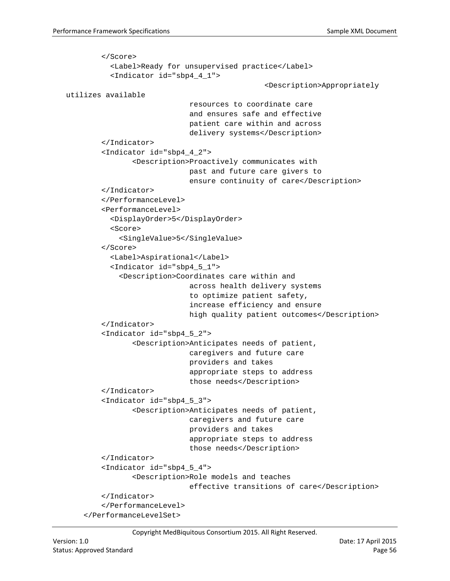```
 </Score>
           <Label>Ready for unsupervised practice</Label>
           <Indicator id="sbp4_4_1">
                                                <Description>Appropriately 
utilizes available 
                              resources to coordinate care 
                             and ensures safe and effective 
                             patient care within and across 
                             delivery systems</Description>
         </Indicator>
         <Indicator id="sbp4_4_2">
                <Description>Proactively communicates with 
                              past and future care givers to 
                             ensure continuity of care</Description>
         </Indicator>
         </PerformanceLevel>
         <PerformanceLevel>
           <DisplayOrder>5</DisplayOrder>
           <Score>
            <SingleValue>5</SingleValue>
         </Score>
           <Label>Aspirational</Label>
           <Indicator id="sbp4_5_1">
            <Description>Coordinates care within and 
                              across health delivery systems 
                             to optimize patient safety, 
                             increase efficiency and ensure 
                             high quality patient outcomes</Description>
         </Indicator>
         <Indicator id="sbp4_5_2">
                <Description>Anticipates needs of patient, 
                              caregivers and future care 
                             providers and takes 
                              appropriate steps to address
                              those needs</Description>
         </Indicator>
         <Indicator id="sbp4_5_3">
                <Description>Anticipates needs of patient, 
                              caregivers and future care 
                              providers and takes 
                              appropriate steps to address
                             those needs</Description>
         </Indicator>
         <Indicator id="sbp4_5_4">
                <Description>Role models and teaches 
                              effective transitions of care</Description>
         </Indicator>
         </PerformanceLevel>
     </PerformanceLevelSet>
```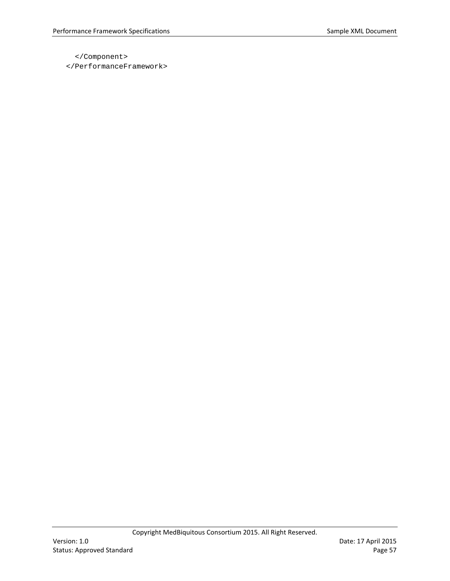</Component>

</PerformanceFramework>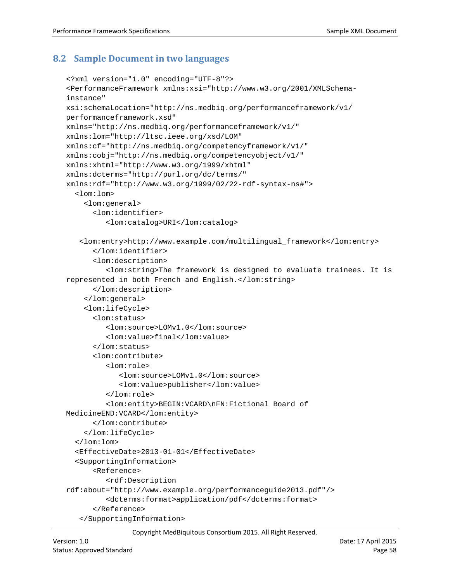## <span id="page-57-0"></span>**8.2 Sample Document in two languages**

```
<?xml version="1.0" encoding="UTF-8"?>
<PerformanceFramework xmlns:xsi="http://www.w3.org/2001/XMLSchema-
instance" 
xsi:schemaLocation="http://ns.medbiq.org/performanceframework/v1/ 
performanceframework.xsd" 
xmlns="http://ns.medbiq.org/performanceframework/v1/" 
xmlns:lom="http://ltsc.ieee.org/xsd/LOM" 
xmlns:cf="http://ns.medbiq.org/competencyframework/v1/" 
xmlns:cobj="http://ns.medbiq.org/competencyobject/v1/" 
xmlns:xhtml="http://www.w3.org/1999/xhtml" 
xmlns:dcterms="http://purl.org/dc/terms/" 
xmlns:rdf="http://www.w3.org/1999/02/22-rdf-syntax-ns#">
   <lom:lom>
     <lom:general>
      <lom:identifier>
         <lom:catalog>URI</lom:catalog>
   <lom:entry>http://www.example.com/multilingual_framework</lom:entry>
      </lom:identifier>
      <lom:description>
         <lom:string>The framework is designed to evaluate trainees. It is 
represented in both French and English.</lom:string>
      </lom:description>
     </lom:general>
     <lom:lifeCycle>
      <lom:status>
         <lom:source>LOMv1.0</lom:source>
         <lom:value>final</lom:value>
      </lom:status>
      <lom:contribute>
         <lom:role>
            <lom:source>LOMv1.0</lom:source>
            <lom:value>publisher</lom:value>
         </lom:role>
         <lom:entity>BEGIN:VCARD\nFN:Fictional Board of 
MedicineEND:VCARD</lom:entity>
      </lom:contribute>
     </lom:lifeCycle>
   </lom:lom>
   <EffectiveDate>2013-01-01</EffectiveDate>
   <SupportingInformation>
      <Reference>
         <rdf:Description 
rdf:about="http://www.example.org/performanceguide2013.pdf"/>
         <dcterms:format>application/pdf</dcterms:format>
      </Reference>
   </SupportingInformation>
```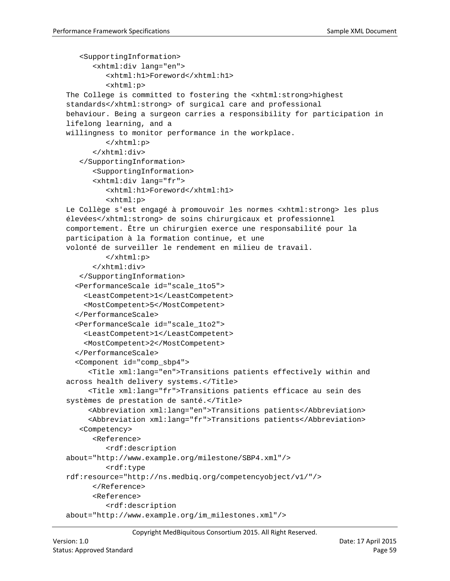```
<SupportingInformation>
      <xhtml:div lang="en">
         <xhtml:h1>Foreword</xhtml:h1>
         <xhtml:p>
The College is committed to fostering the <xhtml:strong>highest 
standards</xhtml:strong> of surgical care and professional
behaviour. Being a surgeon carries a responsibility for participation in 
lifelong learning, and a
willingness to monitor performance in the workplace.
         </xhtml:p>
      </xhtml:div>
   </SupportingInformation>
      <SupportingInformation>
      <xhtml:div lang="fr">
         <xhtml:h1>Foreword</xhtml:h1>
         <xhtml:p>
Le Collège s'est engagé à promouvoir les normes <xhtml:strong> les plus 
élevées</xhtml:strong> de soins chirurgicaux et professionnel
comportement. Être un chirurgien exerce une responsabilité pour la 
participation à la formation continue, et une
volonté de surveiller le rendement en milieu de travail.
         </xhtml:p>
      </xhtml:div>
   </SupportingInformation>
   <PerformanceScale id="scale_1to5">
     <LeastCompetent>1</LeastCompetent>
     <MostCompetent>5</MostCompetent>
   </PerformanceScale>
   <PerformanceScale id="scale_1to2">
     <LeastCompetent>1</LeastCompetent>
     <MostCompetent>2</MostCompetent>
   </PerformanceScale>
   <Component id="comp_sbp4">
      <Title xml:lang="en">Transitions patients effectively within and 
across health delivery systems.</Title>
      <Title xml:lang="fr">Transitions patients efficace au sein des 
systèmes de prestation de santé.</Title>
      <Abbreviation xml:lang="en">Transitions patients</Abbreviation>
      <Abbreviation xml:lang="fr">Transitions patients</Abbreviation>
   <Competency>
      <Reference>
         <rdf:description 
about="http://www.example.org/milestone/SBP4.xml"/>
         <rdf:type 
rdf:resource="http://ns.medbiq.org/competencyobject/v1/"/>
      </Reference>
      <Reference>
         <rdf:description 
about="http://www.example.org/im_milestones.xml"/>
```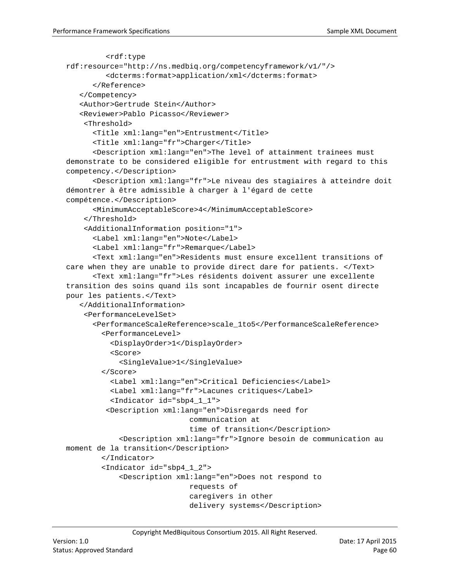```
<rdf:type 
rdf:resource="http://ns.medbiq.org/competencyframework/v1/"/>
         <dcterms:format>application/xml</dcterms:format>
      </Reference>
   </Competency>
   <Author>Gertrude Stein</Author>
   <Reviewer>Pablo Picasso</Reviewer>
     <Threshold>
      <Title xml:lang="en">Entrustment</Title>
      <Title xml:lang="fr">Charger</Title>
      <Description xml:lang="en">The level of attainment trainees must 
demonstrate to be considered eligible for entrustment with regard to this 
competency.</Description>
      <Description xml:lang="fr">Le niveau des stagiaires à atteindre doit 
démontrer à être admissible à charger à l'égard de cette 
compétence.</Description>
      <MinimumAcceptableScore>4</MinimumAcceptableScore>
     </Threshold>
     <AdditionalInformation position="1">
      <Label xml:lang="en">Note</Label>
      <Label xml:lang="fr">Remarque</Label>
      <Text xml:lang="en">Residents must ensure excellent transitions of 
care when they are unable to provide direct dare for patients. </Text>
      <Text xml:lang="fr">Les résidents doivent assurer une excellente 
transition des soins quand ils sont incapables de fournir osent directe 
pour les patients.</Text>
   </AdditionalInformation>
     <PerformanceLevelSet>
      <PerformanceScaleReference>scale_1to5</PerformanceScaleReference>
         <PerformanceLevel>
           <DisplayOrder>1</DisplayOrder>
           <Score>
            <SingleValue>1</SingleValue>
         </Score>
           <Label xml:lang="en">Critical Deficiencies</Label> 
           <Label xml:lang="fr">Lacunes critiques</Label> 
           <Indicator id="sbp4_1_1">
         <Description xml:lang="en">Disregards need for 
                              communication at 
                             time of transition</Description>
             <Description xml:lang="fr">Ignore besoin de communication au 
moment de la transition</Description>
         </Indicator>
         <Indicator id="sbp4_1_2">
            <Description xml:lang="en">Does not respond to 
                              requests of 
                             caregivers in other 
                             delivery systems</Description>
```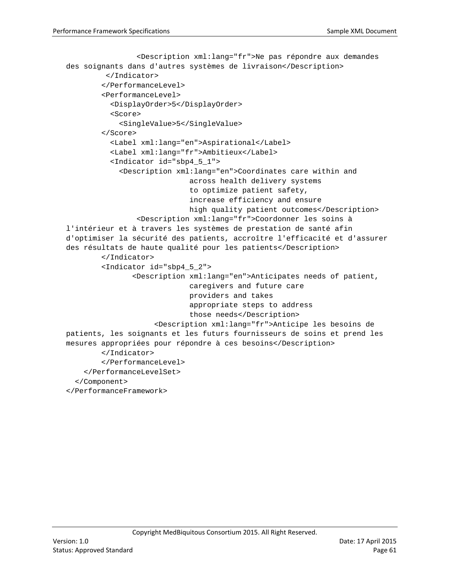```
 <Description xml:lang="fr">Ne pas répondre aux demandes 
des soignants dans d'autres systèmes de livraison</Description>
          </Indicator>
         </PerformanceLevel>
         <PerformanceLevel>
           <DisplayOrder>5</DisplayOrder>
           <Score>
            <SingleValue>5</SingleValue>
         </Score>
           <Label xml:lang="en">Aspirational</Label>
           <Label xml:lang="fr">Ambitieux</Label>
           <Indicator id="sbp4_5_1">
            <Description xml:lang="en">Coordinates care within and 
                              across health delivery systems 
                             to optimize patient safety, 
                             increase efficiency and ensure 
                             high quality patient outcomes</Description>
                 <Description xml:lang="fr">Coordonner les soins à 
l'intérieur et à travers les systèmes de prestation de santé afin 
d'optimiser la sécurité des patients, accroître l'efficacité et d'assurer 
des résultats de haute qualité pour les patients</Description>
         </Indicator>
         <Indicator id="sbp4_5_2">
               <Description xml:lang="en">Anticipates needs of patient, 
                              caregivers and future care 
                             providers and takes 
                              appropriate steps to address
                              those needs</Description>
                      <Description xml:lang="fr">Anticipe les besoins de 
patients, les soignants et les futurs fournisseurs de soins et prend les 
mesures appropriées pour répondre à ces besoins</Description>
         </Indicator>
         </PerformanceLevel>
     </PerformanceLevelSet>
   </Component>
</PerformanceFramework>
```